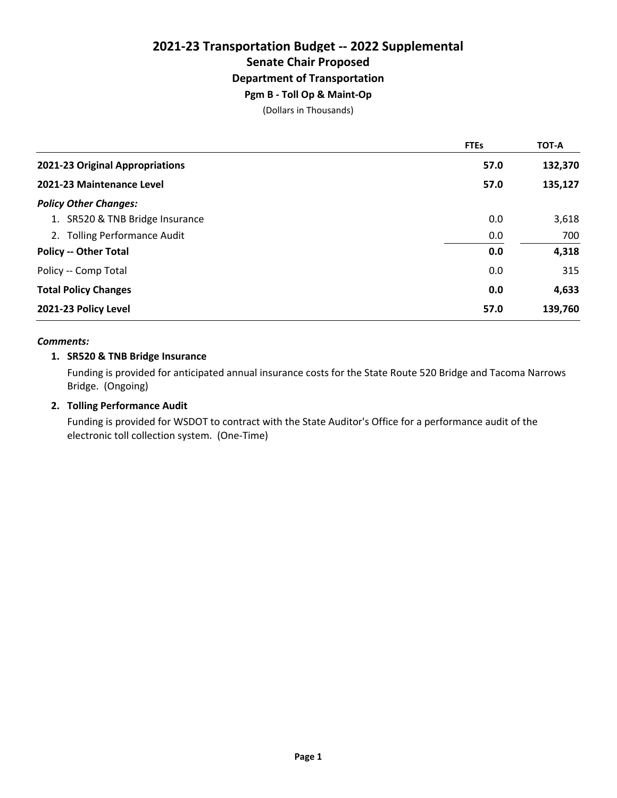# **2021-23 Transportation Budget -- 2022 Supplemental Senate Chair Proposed Department of Transportation Pgm B - Toll Op & Maint-Op**

(Dollars in Thousands)

|                                 | <b>FTEs</b> | <b>TOT-A</b> |
|---------------------------------|-------------|--------------|
| 2021-23 Original Appropriations | 57.0        | 132,370      |
| 2021-23 Maintenance Level       | 57.0        | 135,127      |
| <b>Policy Other Changes:</b>    |             |              |
| 1. SR520 & TNB Bridge Insurance | 0.0         | 3,618        |
| 2. Tolling Performance Audit    | 0.0         | 700          |
| <b>Policy -- Other Total</b>    | 0.0         | 4,318        |
| Policy -- Comp Total            | 0.0         | 315          |
| <b>Total Policy Changes</b>     | 0.0         | 4,633        |
| 2021-23 Policy Level            | 57.0        | 139,760      |

#### *Comments:*

#### **1. SR520 & TNB Bridge Insurance**

Funding is provided for anticipated annual insurance costs for the State Route 520 Bridge and Tacoma Narrows Bridge. (Ongoing)

#### **2. Tolling Performance Audit**

Funding is provided for WSDOT to contract with the State Auditor's Office for a performance audit of the electronic toll collection system. (One-Time)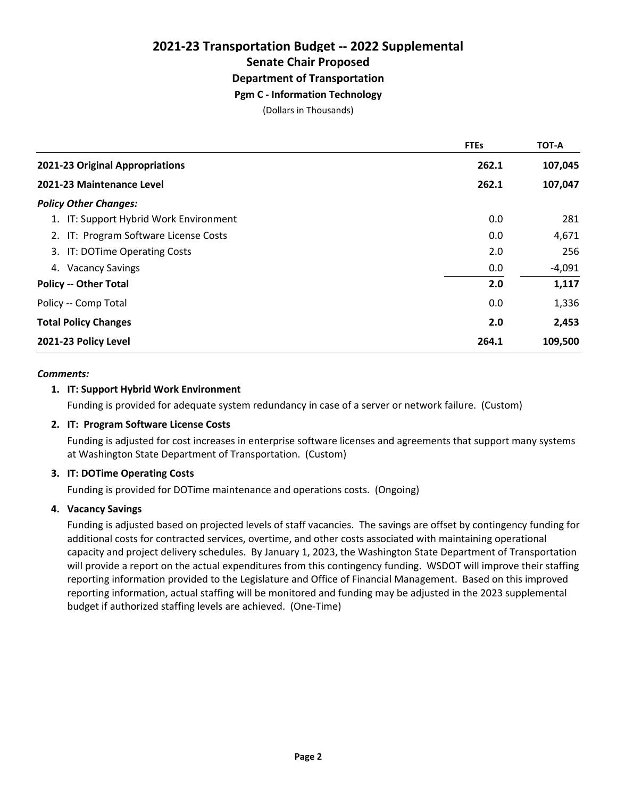**Pgm C - Information Technology**

(Dollars in Thousands)

|                                        | <b>FTEs</b> | <b>TOT-A</b> |
|----------------------------------------|-------------|--------------|
| 2021-23 Original Appropriations        | 262.1       | 107,045      |
| 2021-23 Maintenance Level              | 262.1       | 107,047      |
| <b>Policy Other Changes:</b>           |             |              |
| 1. IT: Support Hybrid Work Environment | 0.0         | 281          |
| 2. IT: Program Software License Costs  | 0.0         | 4,671        |
| 3. IT: DOTime Operating Costs          | 2.0         | 256          |
| <b>Vacancy Savings</b><br>4.           | 0.0         | $-4,091$     |
| <b>Policy -- Other Total</b>           | 2.0         | 1,117        |
| Policy -- Comp Total                   | 0.0         | 1,336        |
| <b>Total Policy Changes</b>            | 2.0         | 2,453        |
| 2021-23 Policy Level                   | 264.1       | 109,500      |

#### *Comments:*

#### **1. IT: Support Hybrid Work Environment**

Funding is provided for adequate system redundancy in case of a server or network failure. (Custom)

#### **2. IT: Program Software License Costs**

Funding is adjusted for cost increases in enterprise software licenses and agreements that support many systems at Washington State Department of Transportation. (Custom)

#### **3. IT: DOTime Operating Costs**

Funding is provided for DOTime maintenance and operations costs. (Ongoing)

#### **4. Vacancy Savings**

Funding is adjusted based on projected levels of staff vacancies. The savings are offset by contingency funding for additional costs for contracted services, overtime, and other costs associated with maintaining operational capacity and project delivery schedules. By January 1, 2023, the Washington State Department of Transportation will provide a report on the actual expenditures from this contingency funding. WSDOT will improve their staffing reporting information provided to the Legislature and Office of Financial Management. Based on this improved reporting information, actual staffing will be monitored and funding may be adjusted in the 2023 supplemental budget if authorized staffing levels are achieved. (One-Time)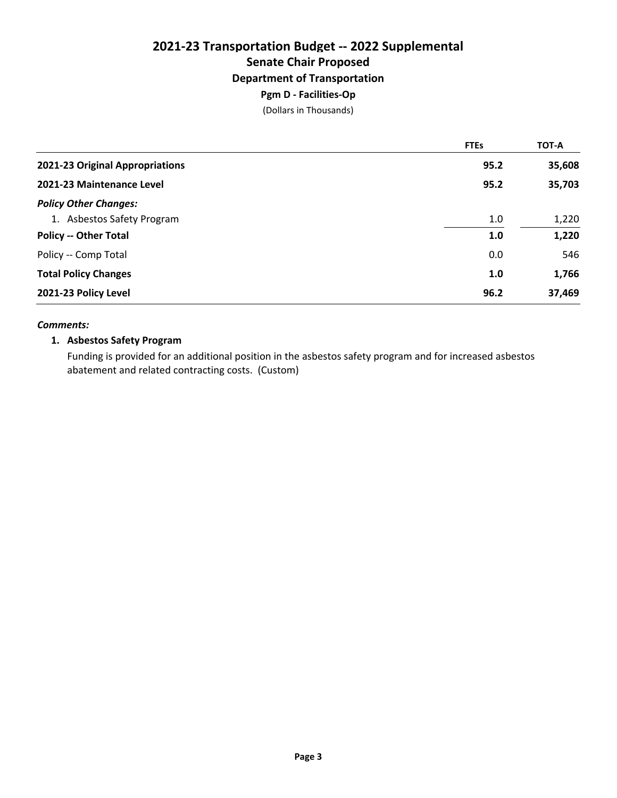(Dollars in Thousands)

|                                 | <b>FTEs</b> | TOT-A  |
|---------------------------------|-------------|--------|
| 2021-23 Original Appropriations | 95.2        | 35,608 |
| 2021-23 Maintenance Level       | 95.2        | 35,703 |
| <b>Policy Other Changes:</b>    |             |        |
| 1. Asbestos Safety Program      | 1.0         | 1,220  |
| <b>Policy -- Other Total</b>    | 1.0         | 1,220  |
| Policy -- Comp Total            | 0.0         | 546    |
| <b>Total Policy Changes</b>     | 1.0         | 1,766  |
| 2021-23 Policy Level            | 96.2        | 37,469 |

#### *Comments:*

#### **1. Asbestos Safety Program**

Funding is provided for an additional position in the asbestos safety program and for increased asbestos abatement and related contracting costs. (Custom)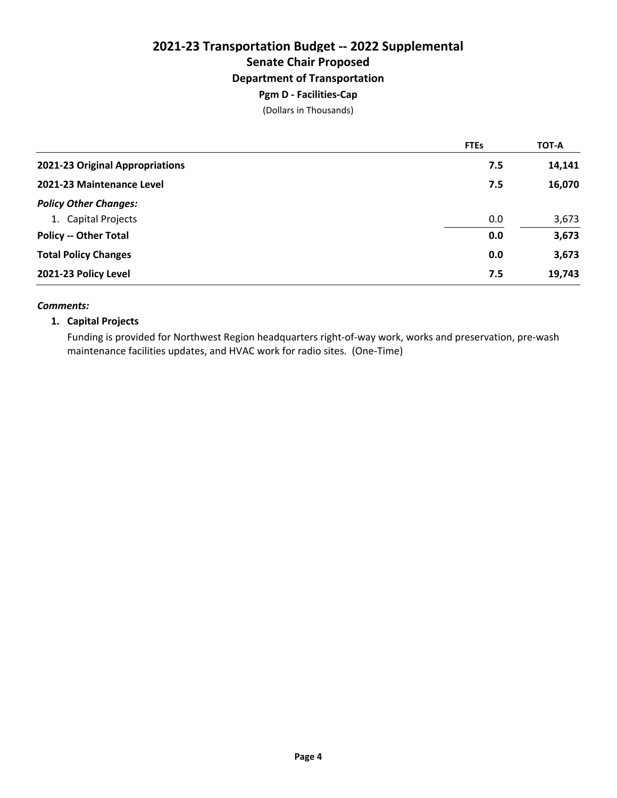# **2021-23 Transportation Budget -- 2022 Supplemental Senate Chair Proposed Department of Transportation Pgm D - Facilities-Cap**

(Dollars in Thousands)

|                                 | <b>FTEs</b> | <b>TOT-A</b> |
|---------------------------------|-------------|--------------|
| 2021-23 Original Appropriations | 7.5         | 14,141       |
| 2021-23 Maintenance Level       | 7.5         | 16,070       |
| <b>Policy Other Changes:</b>    |             |              |
| 1. Capital Projects             | 0.0         | 3,673        |
| <b>Policy -- Other Total</b>    | 0.0         | 3,673        |
| <b>Total Policy Changes</b>     | 0.0         | 3,673        |
| 2021-23 Policy Level            | 7.5         | 19,743       |

#### *Comments:*

#### **1. Capital Projects**

Funding is provided for Northwest Region headquarters right-of-way work, works and preservation, pre-wash maintenance facilities updates, and HVAC work for radio sites. (One-Time)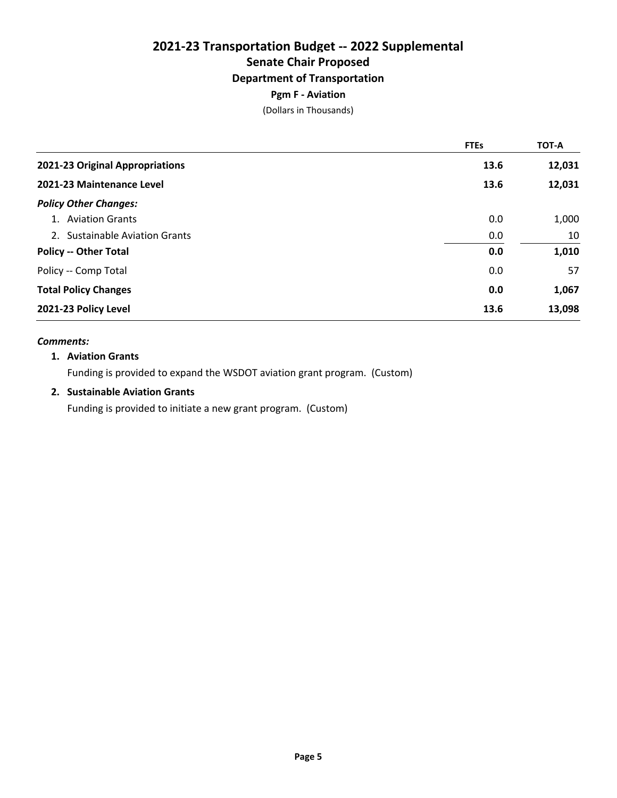### **Department of Transportation**

### **Pgm F - Aviation**

(Dollars in Thousands)

|                                 | <b>FTEs</b> | <b>TOT-A</b> |
|---------------------------------|-------------|--------------|
| 2021-23 Original Appropriations | 13.6        | 12,031       |
| 2021-23 Maintenance Level       | 13.6        | 12,031       |
| <b>Policy Other Changes:</b>    |             |              |
| 1. Aviation Grants              | 0.0         | 1,000        |
| 2. Sustainable Aviation Grants  | 0.0         | 10           |
| <b>Policy -- Other Total</b>    | 0.0         | 1,010        |
| Policy -- Comp Total            | 0.0         | 57           |
| <b>Total Policy Changes</b>     | 0.0         | 1,067        |
| 2021-23 Policy Level            | 13.6        | 13,098       |

#### *Comments:*

#### **1. Aviation Grants**

Funding is provided to expand the WSDOT aviation grant program. (Custom)

#### **2. Sustainable Aviation Grants**

Funding is provided to initiate a new grant program. (Custom)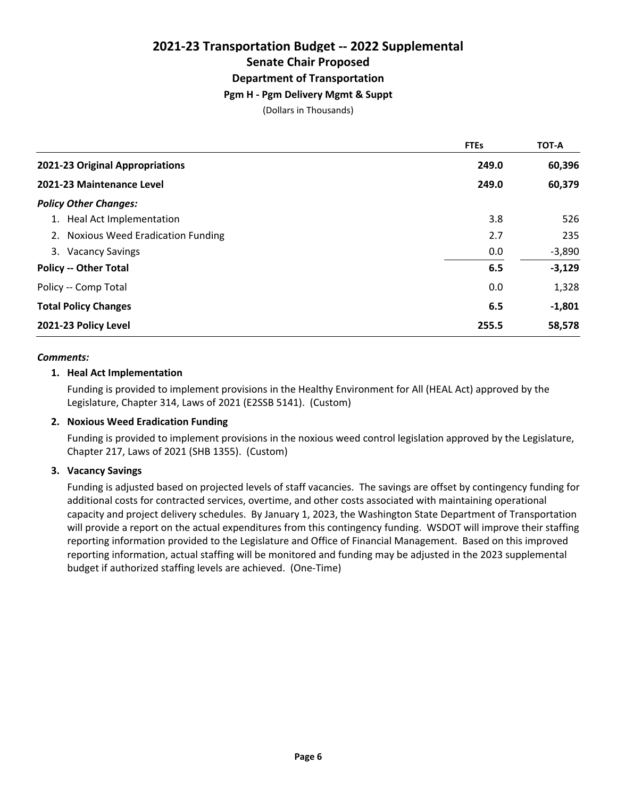### **2021-23 Transportation Budget -- 2022 Supplemental Senate Chair Proposed Department of Transportation Pgm H - Pgm Delivery Mgmt & Suppt**

(Dollars in Thousands)

|                                     | <b>FTEs</b> | <b>TOT-A</b> |
|-------------------------------------|-------------|--------------|
| 2021-23 Original Appropriations     | 249.0       | 60,396       |
| 2021-23 Maintenance Level           | 249.0       | 60,379       |
| <b>Policy Other Changes:</b>        |             |              |
| 1. Heal Act Implementation          | 3.8         | 526          |
| 2. Noxious Weed Eradication Funding | 2.7         | 235          |
| 3. Vacancy Savings                  | 0.0         | $-3,890$     |
| <b>Policy -- Other Total</b>        | 6.5         | $-3,129$     |
| Policy -- Comp Total                | 0.0         | 1,328        |
| <b>Total Policy Changes</b>         | 6.5         | $-1,801$     |
| 2021-23 Policy Level                | 255.5       | 58,578       |

#### *Comments:*

#### **1. Heal Act Implementation**

Funding is provided to implement provisions in the Healthy Environment for All (HEAL Act) approved by the Legislature, Chapter 314, Laws of 2021 (E2SSB 5141). (Custom)

#### **2. Noxious Weed Eradication Funding**

Funding is provided to implement provisions in the noxious weed control legislation approved by the Legislature, Chapter 217, Laws of 2021 (SHB 1355). (Custom)

#### **3. Vacancy Savings**

Funding is adjusted based on projected levels of staff vacancies. The savings are offset by contingency funding for additional costs for contracted services, overtime, and other costs associated with maintaining operational capacity and project delivery schedules. By January 1, 2023, the Washington State Department of Transportation will provide a report on the actual expenditures from this contingency funding. WSDOT will improve their staffing reporting information provided to the Legislature and Office of Financial Management. Based on this improved reporting information, actual staffing will be monitored and funding may be adjusted in the 2023 supplemental budget if authorized staffing levels are achieved. (One-Time)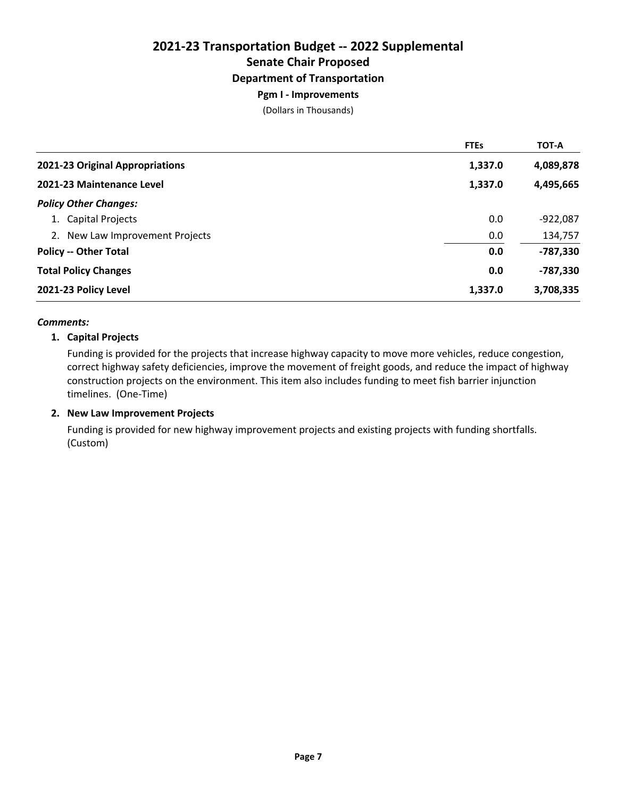### **Pgm I - Improvements**

(Dollars in Thousands)

|                                 | <b>FTEs</b> | <b>TOT-A</b> |
|---------------------------------|-------------|--------------|
| 2021-23 Original Appropriations | 1,337.0     | 4,089,878    |
| 2021-23 Maintenance Level       | 1,337.0     | 4,495,665    |
| <b>Policy Other Changes:</b>    |             |              |
| 1. Capital Projects             | 0.0         | $-922,087$   |
| 2. New Law Improvement Projects | 0.0         | 134,757      |
| <b>Policy -- Other Total</b>    | 0.0         | $-787,330$   |
| <b>Total Policy Changes</b>     | 0.0         | $-787,330$   |
| 2021-23 Policy Level            | 1,337.0     | 3,708,335    |

#### *Comments:*

#### **1. Capital Projects**

Funding is provided for the projects that increase highway capacity to move more vehicles, reduce congestion, correct highway safety deficiencies, improve the movement of freight goods, and reduce the impact of highway construction projects on the environment. This item also includes funding to meet fish barrier injunction timelines. (One-Time)

#### **2. New Law Improvement Projects**

Funding is provided for new highway improvement projects and existing projects with funding shortfalls. (Custom)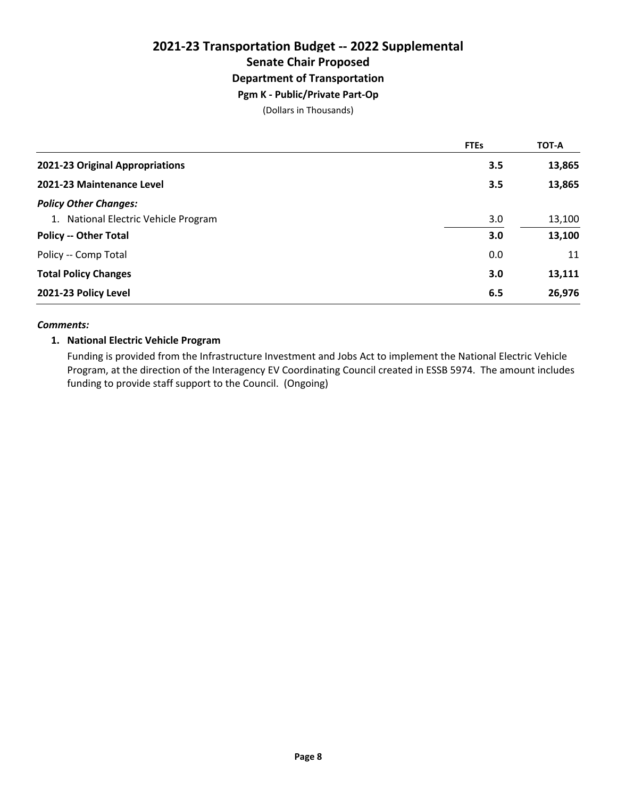# **2021-23 Transportation Budget -- 2022 Supplemental Senate Chair Proposed Department of Transportation Pgm K - Public/Private Part-Op**

(Dollars in Thousands)

|                                      | <b>FTEs</b> | <b>TOT-A</b> |
|--------------------------------------|-------------|--------------|
| 2021-23 Original Appropriations      | 3.5         | 13,865       |
| 2021-23 Maintenance Level            | 3.5         | 13,865       |
| <b>Policy Other Changes:</b>         |             |              |
| 1. National Electric Vehicle Program | 3.0         | 13,100       |
| <b>Policy -- Other Total</b>         | 3.0         | 13,100       |
| Policy -- Comp Total                 | 0.0         | 11           |
| <b>Total Policy Changes</b>          | 3.0         | 13,111       |
| 2021-23 Policy Level                 | 6.5         | 26,976       |

#### *Comments:*

#### **1. National Electric Vehicle Program**

Funding is provided from the Infrastructure Investment and Jobs Act to implement the National Electric Vehicle Program, at the direction of the Interagency EV Coordinating Council created in ESSB 5974. The amount includes funding to provide staff support to the Council. (Ongoing)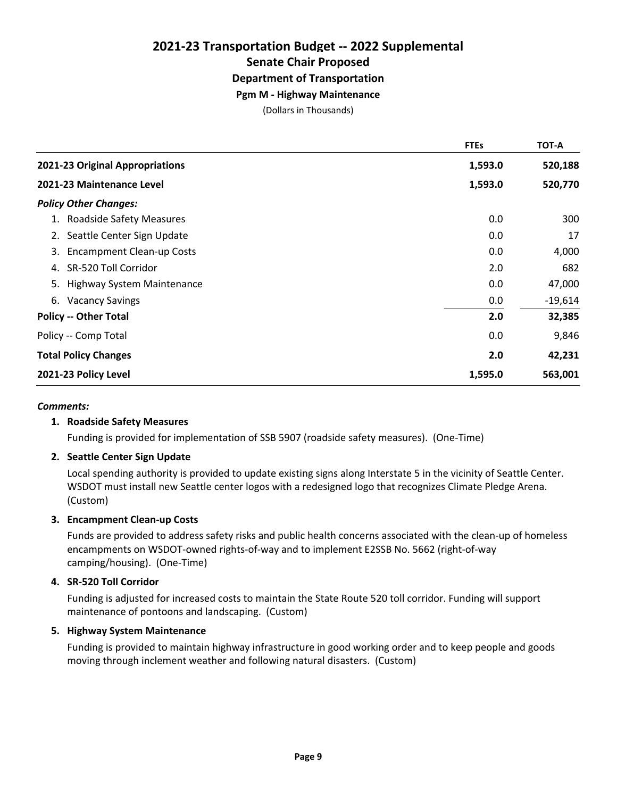### **Pgm M - Highway Maintenance**

(Dollars in Thousands)

|                                        | <b>FTEs</b> | <b>TOT-A</b> |
|----------------------------------------|-------------|--------------|
| 2021-23 Original Appropriations        | 1,593.0     | 520,188      |
| 2021-23 Maintenance Level              | 1,593.0     | 520,770      |
| <b>Policy Other Changes:</b>           |             |              |
| 1. Roadside Safety Measures            | 0.0         | 300          |
| 2. Seattle Center Sign Update          | 0.0         | 17           |
| <b>Encampment Clean-up Costs</b><br>3. | 0.0         | 4,000        |
| SR-520 Toll Corridor<br>4.             | 2.0         | 682          |
| 5. Highway System Maintenance          | 0.0         | 47,000       |
| <b>Vacancy Savings</b><br>6.           | 0.0         | $-19,614$    |
| <b>Policy -- Other Total</b>           | 2.0         | 32,385       |
| Policy -- Comp Total                   | 0.0         | 9,846        |
| <b>Total Policy Changes</b>            | 2.0         | 42,231       |
| 2021-23 Policy Level                   | 1,595.0     | 563,001      |

#### *Comments:*

#### **1. Roadside Safety Measures**

Funding is provided for implementation of SSB 5907 (roadside safety measures). (One-Time)

#### **2. Seattle Center Sign Update**

Local spending authority is provided to update existing signs along Interstate 5 in the vicinity of Seattle Center. WSDOT must install new Seattle center logos with a redesigned logo that recognizes Climate Pledge Arena. (Custom)

#### **3. Encampment Clean-up Costs**

Funds are provided to address safety risks and public health concerns associated with the clean-up of homeless encampments on WSDOT-owned rights-of-way and to implement E2SSB No. 5662 (right-of-way camping/housing). (One-Time)

#### **4. SR-520 Toll Corridor**

Funding is adjusted for increased costs to maintain the State Route 520 toll corridor. Funding will support maintenance of pontoons and landscaping. (Custom)

#### **5. Highway System Maintenance**

Funding is provided to maintain highway infrastructure in good working order and to keep people and goods moving through inclement weather and following natural disasters. (Custom)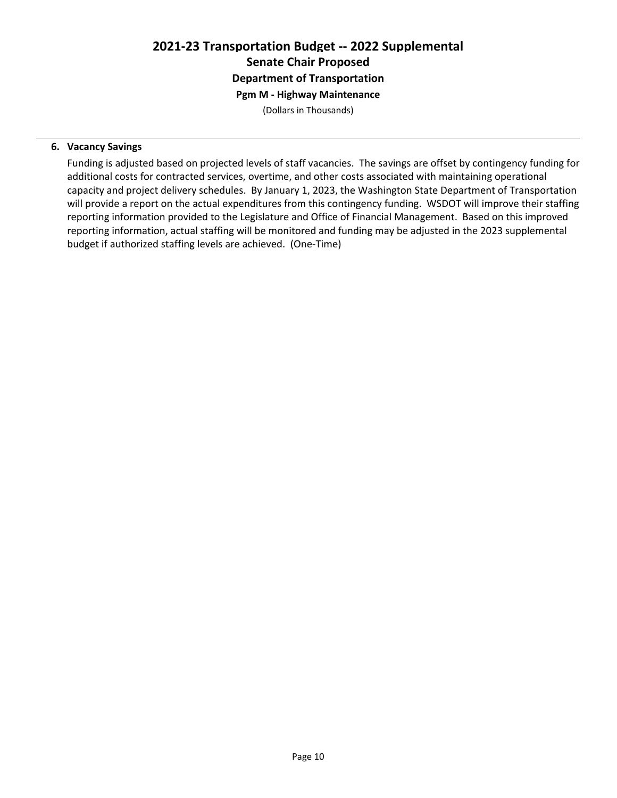# **2021-23 Transportation Budget -- 2022 Supplemental Senate Chair Proposed Department of Transportation Pgm M - Highway Maintenance**

(Dollars in Thousands)

#### **6. Vacancy Savings**

Funding is adjusted based on projected levels of staff vacancies. The savings are offset by contingency funding for additional costs for contracted services, overtime, and other costs associated with maintaining operational capacity and project delivery schedules. By January 1, 2023, the Washington State Department of Transportation will provide a report on the actual expenditures from this contingency funding. WSDOT will improve their staffing reporting information provided to the Legislature and Office of Financial Management. Based on this improved reporting information, actual staffing will be monitored and funding may be adjusted in the 2023 supplemental budget if authorized staffing levels are achieved. (One-Time)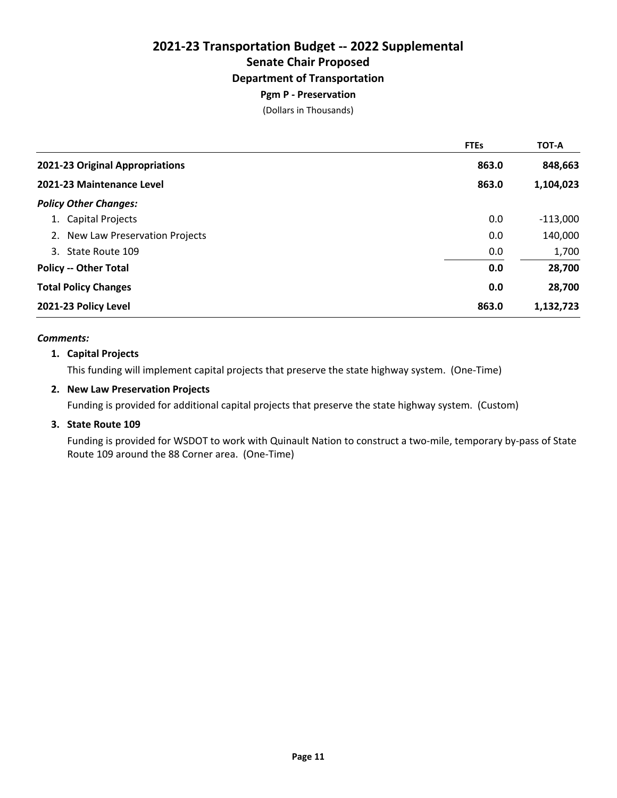### **Pgm P - Preservation**

(Dollars in Thousands)

|                                  | <b>FTEs</b> | <b>TOT-A</b> |
|----------------------------------|-------------|--------------|
| 2021-23 Original Appropriations  | 863.0       | 848,663      |
| 2021-23 Maintenance Level        | 863.0       | 1,104,023    |
| <b>Policy Other Changes:</b>     |             |              |
| 1. Capital Projects              | 0.0         | $-113,000$   |
| 2. New Law Preservation Projects | 0.0         | 140,000      |
| 3. State Route 109               | 0.0         | 1,700        |
| <b>Policy -- Other Total</b>     | 0.0         | 28,700       |
| <b>Total Policy Changes</b>      | 0.0         | 28,700       |
| 2021-23 Policy Level             | 863.0       | 1,132,723    |

#### *Comments:*

#### **1. Capital Projects**

This funding will implement capital projects that preserve the state highway system. (One-Time)

#### **2. New Law Preservation Projects**

Funding is provided for additional capital projects that preserve the state highway system. (Custom)

#### **3. State Route 109**

Funding is provided for WSDOT to work with Quinault Nation to construct a two-mile, temporary by-pass of State Route 109 around the 88 Corner area. (One-Time)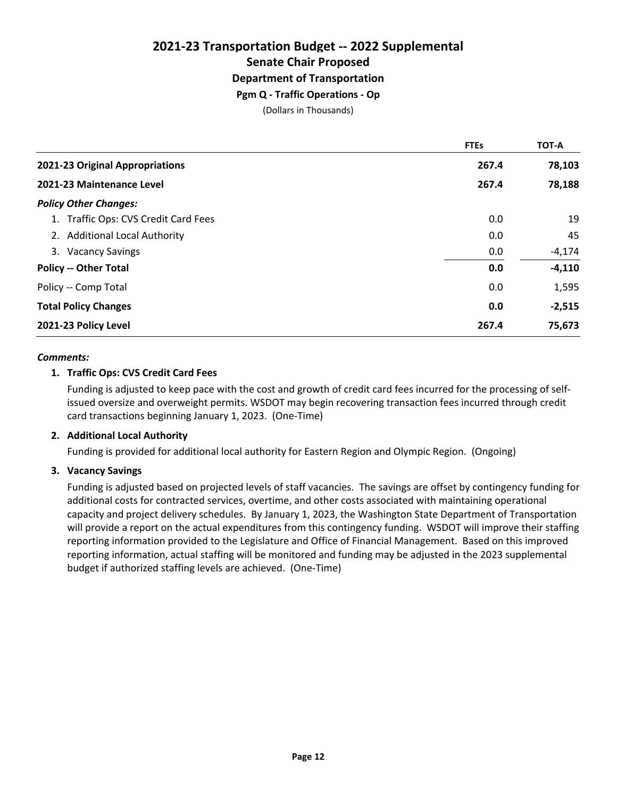# **2021-23 Transportation Budget -- 2022 Supplemental Senate Chair Proposed Department of Transportation Pgm Q - Traffic Operations - Op**

(Dollars in Thousands)

|                                      | <b>FTEs</b> | <b>TOT-A</b> |
|--------------------------------------|-------------|--------------|
| 2021-23 Original Appropriations      | 267.4       | 78,103       |
| 2021-23 Maintenance Level            | 267.4       | 78,188       |
| <b>Policy Other Changes:</b>         |             |              |
| 1. Traffic Ops: CVS Credit Card Fees | 0.0         | 19           |
| 2. Additional Local Authority        | 0.0         | 45           |
| 3. Vacancy Savings                   | 0.0         | $-4,174$     |
| <b>Policy -- Other Total</b>         | 0.0         | $-4,110$     |
| Policy -- Comp Total                 | 0.0         | 1,595        |
| <b>Total Policy Changes</b>          | 0.0         | $-2,515$     |
| 2021-23 Policy Level                 | 267.4       | 75,673       |

#### *Comments:*

#### **1. Traffic Ops: CVS Credit Card Fees**

Funding is adjusted to keep pace with the cost and growth of credit card fees incurred for the processing of selfissued oversize and overweight permits. WSDOT may begin recovering transaction fees incurred through credit card transactions beginning January 1, 2023. (One-Time)

#### **2. Additional Local Authority**

Funding is provided for additional local authority for Eastern Region and Olympic Region. (Ongoing)

#### **3. Vacancy Savings**

Funding is adjusted based on projected levels of staff vacancies. The savings are offset by contingency funding for additional costs for contracted services, overtime, and other costs associated with maintaining operational capacity and project delivery schedules. By January 1, 2023, the Washington State Department of Transportation will provide a report on the actual expenditures from this contingency funding. WSDOT will improve their staffing reporting information provided to the Legislature and Office of Financial Management. Based on this improved reporting information, actual staffing will be monitored and funding may be adjusted in the 2023 supplemental budget if authorized staffing levels are achieved. (One-Time)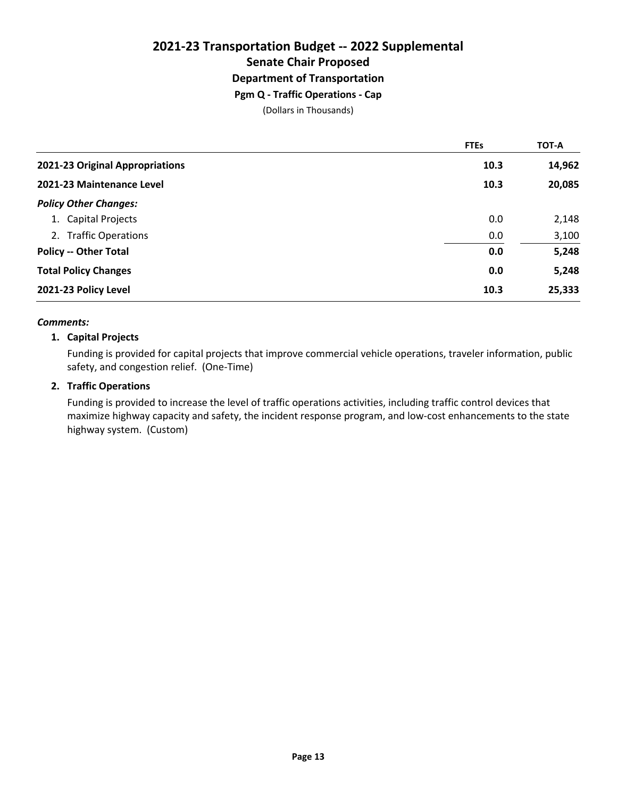# **2021-23 Transportation Budget -- 2022 Supplemental Senate Chair Proposed Department of Transportation Pgm Q - Traffic Operations - Cap**

(Dollars in Thousands)

|                                 | <b>FTEs</b> | <b>TOT-A</b> |
|---------------------------------|-------------|--------------|
| 2021-23 Original Appropriations | 10.3        | 14,962       |
| 2021-23 Maintenance Level       | 10.3        | 20,085       |
| <b>Policy Other Changes:</b>    |             |              |
| 1. Capital Projects             | 0.0         | 2,148        |
| 2. Traffic Operations           | 0.0         | 3,100        |
| <b>Policy -- Other Total</b>    | 0.0         | 5,248        |
| <b>Total Policy Changes</b>     | 0.0         | 5,248        |
| 2021-23 Policy Level            | 10.3        | 25,333       |

#### *Comments:*

#### **1. Capital Projects**

Funding is provided for capital projects that improve commercial vehicle operations, traveler information, public safety, and congestion relief. (One-Time)

#### **2. Traffic Operations**

Funding is provided to increase the level of traffic operations activities, including traffic control devices that maximize highway capacity and safety, the incident response program, and low-cost enhancements to the state highway system. (Custom)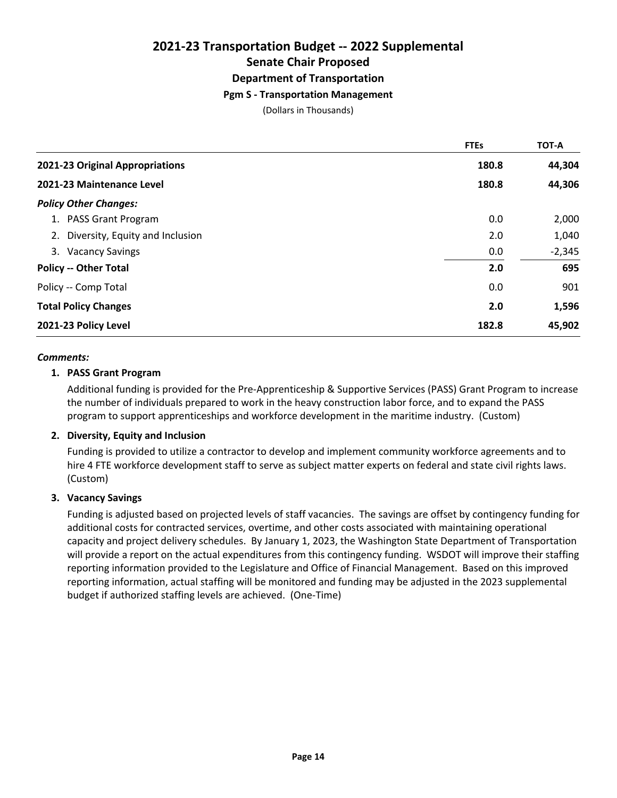# **2021-23 Transportation Budget -- 2022 Supplemental Senate Chair Proposed Department of Transportation Pgm S - Transportation Management**

(Dollars in Thousands)

|                                    | <b>FTEs</b> | <b>TOT-A</b> |
|------------------------------------|-------------|--------------|
| 2021-23 Original Appropriations    | 180.8       | 44,304       |
| 2021-23 Maintenance Level          | 180.8       | 44,306       |
| <b>Policy Other Changes:</b>       |             |              |
| 1. PASS Grant Program              | 0.0         | 2,000        |
| 2. Diversity, Equity and Inclusion | 2.0         | 1,040        |
| 3. Vacancy Savings                 | 0.0         | $-2,345$     |
| <b>Policy -- Other Total</b>       | 2.0         | 695          |
| Policy -- Comp Total               | 0.0         | 901          |
| <b>Total Policy Changes</b>        | 2.0         | 1,596        |
| 2021-23 Policy Level               | 182.8       | 45,902       |

#### *Comments:*

#### **1. PASS Grant Program**

Additional funding is provided for the Pre-Apprenticeship & Supportive Services (PASS) Grant Program to increase the number of individuals prepared to work in the heavy construction labor force, and to expand the PASS program to support apprenticeships and workforce development in the maritime industry. (Custom)

#### **2. Diversity, Equity and Inclusion**

Funding is provided to utilize a contractor to develop and implement community workforce agreements and to hire 4 FTE workforce development staff to serve as subject matter experts on federal and state civil rights laws. (Custom)

#### **3. Vacancy Savings**

Funding is adjusted based on projected levels of staff vacancies. The savings are offset by contingency funding for additional costs for contracted services, overtime, and other costs associated with maintaining operational capacity and project delivery schedules. By January 1, 2023, the Washington State Department of Transportation will provide a report on the actual expenditures from this contingency funding. WSDOT will improve their staffing reporting information provided to the Legislature and Office of Financial Management. Based on this improved reporting information, actual staffing will be monitored and funding may be adjusted in the 2023 supplemental budget if authorized staffing levels are achieved. (One-Time)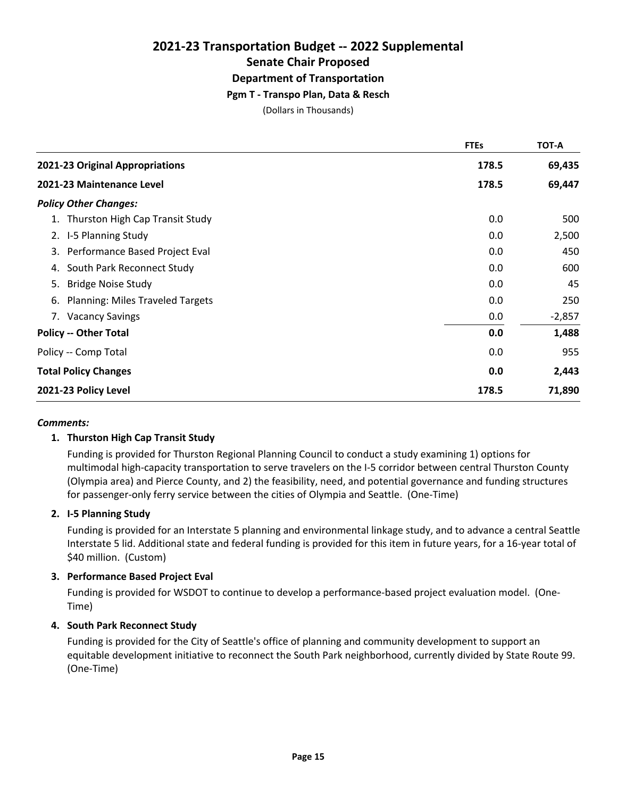#### **Pgm T - Transpo Plan, Data & Resch**

(Dollars in Thousands)

|                                               | <b>FTEs</b> | <b>TOT-A</b> |
|-----------------------------------------------|-------------|--------------|
| 2021-23 Original Appropriations               | 178.5       | 69,435       |
| 2021-23 Maintenance Level                     | 178.5       | 69,447       |
| <b>Policy Other Changes:</b>                  |             |              |
| 1. Thurston High Cap Transit Study            | 0.0         | 500          |
| 2. I-5 Planning Study                         | 0.0         | 2,500        |
| 3. Performance Based Project Eval             | 0.0         | 450          |
| South Park Reconnect Study<br>4.              | 0.0         | 600          |
| <b>Bridge Noise Study</b><br>5.               | 0.0         | 45           |
| <b>Planning: Miles Traveled Targets</b><br>6. | 0.0         | 250          |
| 7. Vacancy Savings                            | 0.0         | $-2,857$     |
| <b>Policy -- Other Total</b>                  | 0.0         | 1,488        |
| Policy -- Comp Total                          | 0.0         | 955          |
| <b>Total Policy Changes</b>                   | 0.0         | 2,443        |
| 2021-23 Policy Level                          | 178.5       | 71,890       |

#### *Comments:*

#### **1. Thurston High Cap Transit Study**

Funding is provided for Thurston Regional Planning Council to conduct a study examining 1) options for multimodal high-capacity transportation to serve travelers on the I-5 corridor between central Thurston County (Olympia area) and Pierce County, and 2) the feasibility, need, and potential governance and funding structures for passenger-only ferry service between the cities of Olympia and Seattle. (One-Time)

#### **2. I-5 Planning Study**

Funding is provided for an Interstate 5 planning and environmental linkage study, and to advance a central Seattle Interstate 5 lid. Additional state and federal funding is provided for this item in future years, for a 16-year total of \$40 million. (Custom)

#### **3. Performance Based Project Eval**

Funding is provided for WSDOT to continue to develop a performance-based project evaluation model. (One-Time)

#### **4. South Park Reconnect Study**

Funding is provided for the City of Seattle's office of planning and community development to support an equitable development initiative to reconnect the South Park neighborhood, currently divided by State Route 99. (One-Time)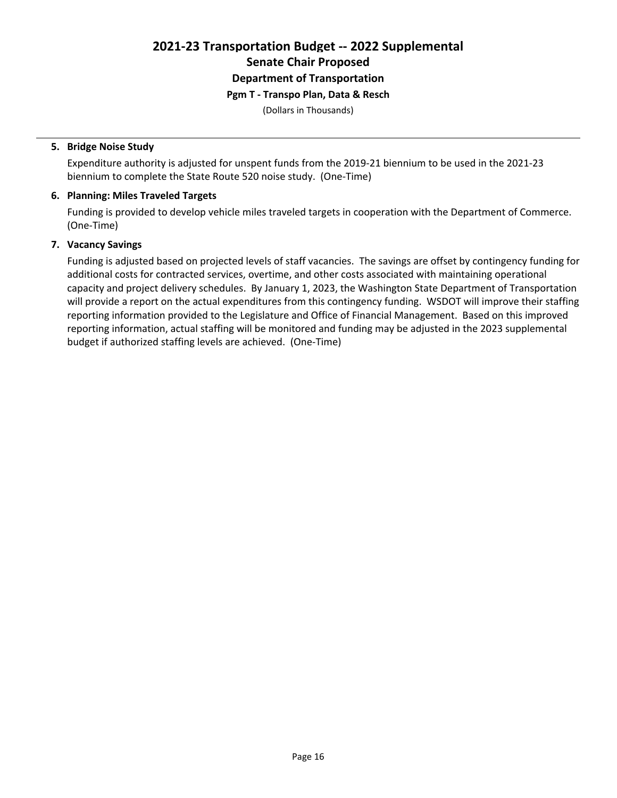# **Pgm T - Transpo Plan, Data & Resch**

(Dollars in Thousands)

#### **5. Bridge Noise Study**

Expenditure authority is adjusted for unspent funds from the 2019-21 biennium to be used in the 2021-23 biennium to complete the State Route 520 noise study. (One-Time)

#### **6. Planning: Miles Traveled Targets**

Funding is provided to develop vehicle miles traveled targets in cooperation with the Department of Commerce. (One-Time)

#### **7. Vacancy Savings**

Funding is adjusted based on projected levels of staff vacancies. The savings are offset by contingency funding for additional costs for contracted services, overtime, and other costs associated with maintaining operational capacity and project delivery schedules. By January 1, 2023, the Washington State Department of Transportation will provide a report on the actual expenditures from this contingency funding. WSDOT will improve their staffing reporting information provided to the Legislature and Office of Financial Management. Based on this improved reporting information, actual staffing will be monitored and funding may be adjusted in the 2023 supplemental budget if authorized staffing levels are achieved. (One-Time)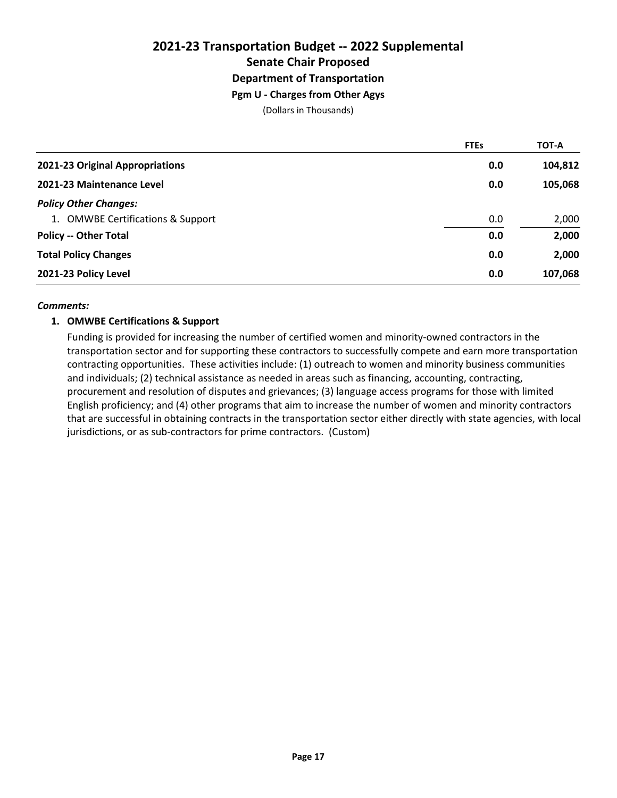# **2021-23 Transportation Budget -- 2022 Supplemental Senate Chair Proposed Department of Transportation Pgm U - Charges from Other Agys**

(Dollars in Thousands)

|                                   | <b>FTEs</b> | <b>TOT-A</b> |
|-----------------------------------|-------------|--------------|
| 2021-23 Original Appropriations   | 0.0         | 104,812      |
| 2021-23 Maintenance Level         | 0.0         | 105,068      |
| <b>Policy Other Changes:</b>      |             |              |
| 1. OMWBE Certifications & Support | 0.0         | 2,000        |
| <b>Policy -- Other Total</b>      | 0.0         | 2,000        |
| <b>Total Policy Changes</b>       | 0.0         | 2,000        |
| 2021-23 Policy Level              | 0.0         | 107,068      |

#### *Comments:*

#### **1. OMWBE Certifications & Support**

Funding is provided for increasing the number of certified women and minority-owned contractors in the transportation sector and for supporting these contractors to successfully compete and earn more transportation contracting opportunities. These activities include: (1) outreach to women and minority business communities and individuals; (2) technical assistance as needed in areas such as financing, accounting, contracting, procurement and resolution of disputes and grievances; (3) language access programs for those with limited English proficiency; and (4) other programs that aim to increase the number of women and minority contractors that are successful in obtaining contracts in the transportation sector either directly with state agencies, with local jurisdictions, or as sub-contractors for prime contractors. (Custom)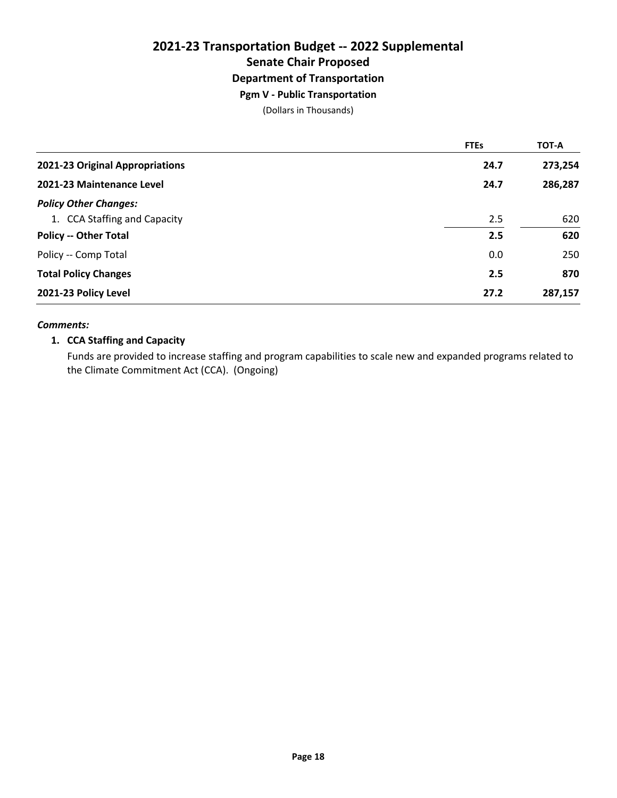# **2021-23 Transportation Budget -- 2022 Supplemental Senate Chair Proposed Department of Transportation Pgm V - Public Transportation**

(Dollars in Thousands)

|                                 | <b>FTEs</b> | <b>TOT-A</b> |
|---------------------------------|-------------|--------------|
| 2021-23 Original Appropriations | 24.7        | 273,254      |
| 2021-23 Maintenance Level       | 24.7        | 286,287      |
| <b>Policy Other Changes:</b>    |             |              |
| 1. CCA Staffing and Capacity    | 2.5         | 620          |
| <b>Policy -- Other Total</b>    | 2.5         | 620          |
| Policy -- Comp Total            | 0.0         | 250          |
| <b>Total Policy Changes</b>     | 2.5         | 870          |
| 2021-23 Policy Level            | 27.2        | 287,157      |

#### *Comments:*

#### **1. CCA Staffing and Capacity**

Funds are provided to increase staffing and program capabilities to scale new and expanded programs related to the Climate Commitment Act (CCA). (Ongoing)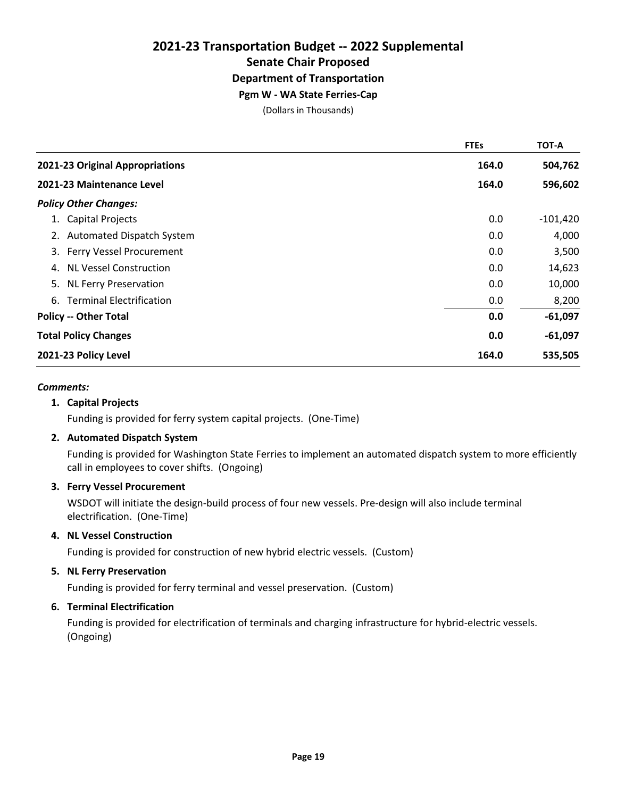**Pgm W - WA State Ferries-Cap**

(Dollars in Thousands)

|                                     | <b>FTEs</b> | TOT-A      |
|-------------------------------------|-------------|------------|
| 2021-23 Original Appropriations     | 164.0       | 504,762    |
| 2021-23 Maintenance Level           | 164.0       | 596,602    |
| <b>Policy Other Changes:</b>        |             |            |
| 1. Capital Projects                 | 0.0         | $-101,420$ |
| 2. Automated Dispatch System        | 0.0         | 4,000      |
| 3. Ferry Vessel Procurement         | 0.0         | 3,500      |
| <b>NL Vessel Construction</b><br>4. | 0.0         | 14,623     |
| 5. NL Ferry Preservation            | 0.0         | 10,000     |
| 6. Terminal Electrification         | 0.0         | 8,200      |
| <b>Policy -- Other Total</b>        | 0.0         | $-61,097$  |
| <b>Total Policy Changes</b>         | 0.0         | $-61,097$  |
| 2021-23 Policy Level                | 164.0       | 535,505    |

#### *Comments:*

#### **1. Capital Projects**

Funding is provided for ferry system capital projects. (One-Time)

#### **2. Automated Dispatch System**

Funding is provided for Washington State Ferries to implement an automated dispatch system to more efficiently call in employees to cover shifts. (Ongoing)

#### **3. Ferry Vessel Procurement**

WSDOT will initiate the design-build process of four new vessels. Pre-design will also include terminal electrification. (One-Time)

#### **4. NL Vessel Construction**

Funding is provided for construction of new hybrid electric vessels. (Custom)

#### **5. NL Ferry Preservation**

Funding is provided for ferry terminal and vessel preservation. (Custom)

#### **6. Terminal Electrification**

Funding is provided for electrification of terminals and charging infrastructure for hybrid-electric vessels. (Ongoing)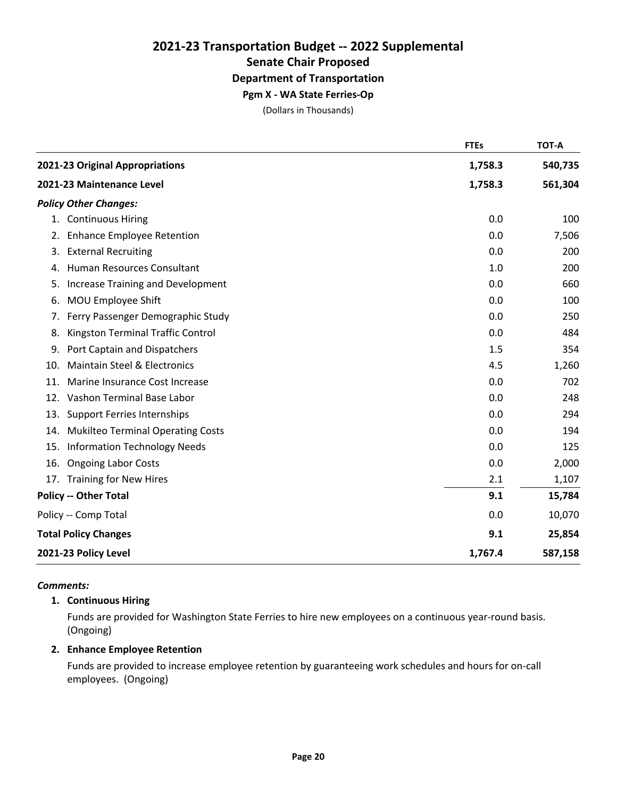### **Pgm X - WA State Ferries-Op**

(Dollars in Thousands)

|     |                                          | <b>FTEs</b> | <b>TOT-A</b> |
|-----|------------------------------------------|-------------|--------------|
|     | 2021-23 Original Appropriations          | 1,758.3     | 540,735      |
|     | 2021-23 Maintenance Level                | 1,758.3     | 561,304      |
|     | <b>Policy Other Changes:</b>             |             |              |
|     | 1. Continuous Hiring                     | 0.0         | 100          |
| 2.  | <b>Enhance Employee Retention</b>        | 0.0         | 7,506        |
| 3.  | <b>External Recruiting</b>               | 0.0         | 200          |
| 4.  | Human Resources Consultant               | 1.0         | 200          |
| 5.  | <b>Increase Training and Development</b> | 0.0         | 660          |
| 6.  | MOU Employee Shift                       | 0.0         | 100          |
| 7.  | Ferry Passenger Demographic Study        | 0.0         | 250          |
| 8.  | Kingston Terminal Traffic Control        | 0.0         | 484          |
| 9.  | Port Captain and Dispatchers             | 1.5         | 354          |
| 10. | <b>Maintain Steel &amp; Electronics</b>  | 4.5         | 1,260        |
| 11. | Marine Insurance Cost Increase           | 0.0         | 702          |
| 12. | Vashon Terminal Base Labor               | 0.0         | 248          |
| 13. | <b>Support Ferries Internships</b>       | 0.0         | 294          |
| 14. | <b>Mukilteo Terminal Operating Costs</b> | 0.0         | 194          |
| 15. | <b>Information Technology Needs</b>      | 0.0         | 125          |
| 16. | <b>Ongoing Labor Costs</b>               | 0.0         | 2,000        |
|     | 17. Training for New Hires               | 2.1         | 1,107        |
|     | <b>Policy -- Other Total</b>             | 9.1         | 15,784       |
|     | Policy -- Comp Total                     | 0.0         | 10,070       |
|     | <b>Total Policy Changes</b>              | 9.1         | 25,854       |
|     | 2021-23 Policy Level                     | 1,767.4     | 587,158      |

#### *Comments:*

#### **1. Continuous Hiring**

Funds are provided for Washington State Ferries to hire new employees on a continuous year-round basis. (Ongoing)

#### **2. Enhance Employee Retention**

Funds are provided to increase employee retention by guaranteeing work schedules and hours for on-call employees. (Ongoing)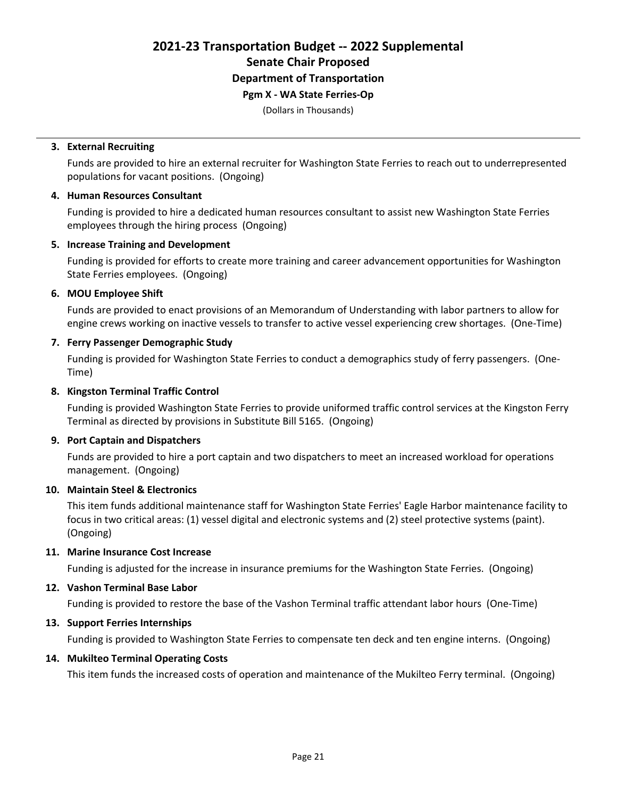### **Pgm X - WA State Ferries-Op**

(Dollars in Thousands)

#### **3. External Recruiting**

Funds are provided to hire an external recruiter for Washington State Ferries to reach out to underrepresented populations for vacant positions. (Ongoing)

#### **4. Human Resources Consultant**

Funding is provided to hire a dedicated human resources consultant to assist new Washington State Ferries employees through the hiring process (Ongoing)

#### **5. Increase Training and Development**

Funding is provided for efforts to create more training and career advancement opportunities for Washington State Ferries employees. (Ongoing)

#### **6. MOU Employee Shift**

Funds are provided to enact provisions of an Memorandum of Understanding with labor partners to allow for engine crews working on inactive vessels to transfer to active vessel experiencing crew shortages. (One-Time)

#### **7. Ferry Passenger Demographic Study**

Funding is provided for Washington State Ferries to conduct a demographics study of ferry passengers. (One-Time)

#### **8. Kingston Terminal Traffic Control**

Funding is provided Washington State Ferries to provide uniformed traffic control services at the Kingston Ferry Terminal as directed by provisions in Substitute Bill 5165. (Ongoing)

#### **9. Port Captain and Dispatchers**

Funds are provided to hire a port captain and two dispatchers to meet an increased workload for operations management. (Ongoing)

#### **10. Maintain Steel & Electronics**

This item funds additional maintenance staff for Washington State Ferries' Eagle Harbor maintenance facility to focus in two critical areas: (1) vessel digital and electronic systems and (2) steel protective systems (paint). (Ongoing)

#### **11. Marine Insurance Cost Increase**

Funding is adjusted for the increase in insurance premiums for the Washington State Ferries. (Ongoing)

#### **12. Vashon Terminal Base Labor**

Funding is provided to restore the base of the Vashon Terminal traffic attendant labor hours (One-Time)

#### **13. Support Ferries Internships**

Funding is provided to Washington State Ferries to compensate ten deck and ten engine interns. (Ongoing)

#### **14. Mukilteo Terminal Operating Costs**

This item funds the increased costs of operation and maintenance of the Mukilteo Ferry terminal. (Ongoing)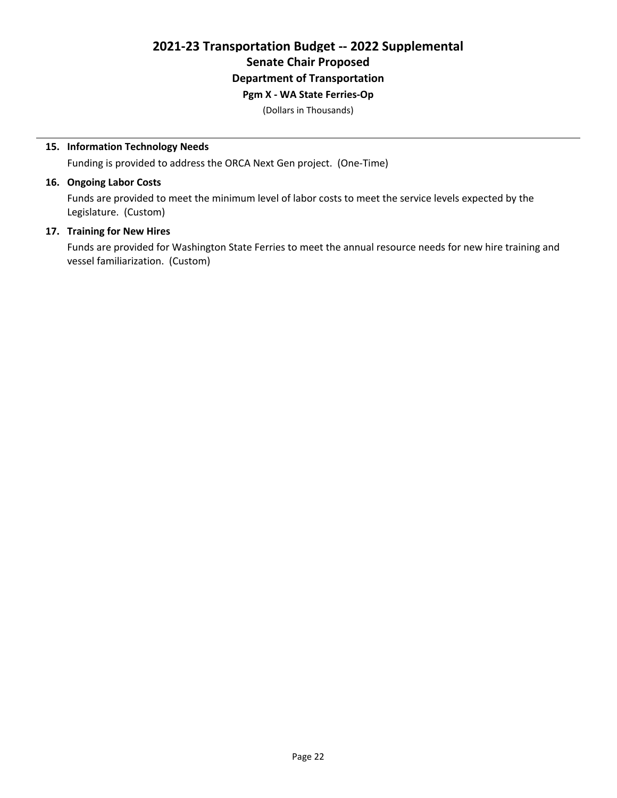#### **Pgm X - WA State Ferries-Op**

(Dollars in Thousands)

#### **15. Information Technology Needs**

Funding is provided to address the ORCA Next Gen project. (One-Time)

#### **16. Ongoing Labor Costs**

Funds are provided to meet the minimum level of labor costs to meet the service levels expected by the Legislature. (Custom)

#### **17. Training for New Hires**

Funds are provided for Washington State Ferries to meet the annual resource needs for new hire training and vessel familiarization. (Custom)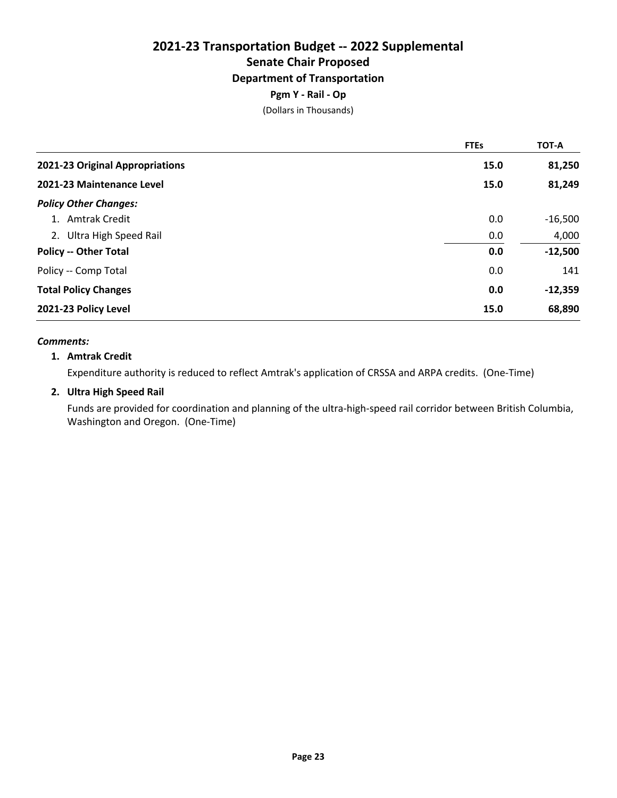#### **Pgm Y - Rail - Op**

(Dollars in Thousands)

|                                 | <b>FTEs</b> | <b>TOT-A</b> |
|---------------------------------|-------------|--------------|
| 2021-23 Original Appropriations | 15.0        | 81,250       |
| 2021-23 Maintenance Level       | 15.0        | 81,249       |
| <b>Policy Other Changes:</b>    |             |              |
| 1. Amtrak Credit                | 0.0         | $-16,500$    |
| 2. Ultra High Speed Rail        | 0.0         | 4,000        |
| <b>Policy -- Other Total</b>    | 0.0         | $-12,500$    |
| Policy -- Comp Total            | 0.0         | 141          |
| <b>Total Policy Changes</b>     | 0.0         | $-12,359$    |
| 2021-23 Policy Level            | 15.0        | 68,890       |

#### *Comments:*

#### **1. Amtrak Credit**

Expenditure authority is reduced to reflect Amtrak's application of CRSSA and ARPA credits. (One-Time)

#### **2. Ultra High Speed Rail**

Funds are provided for coordination and planning of the ultra-high-speed rail corridor between British Columbia, Washington and Oregon. (One-Time)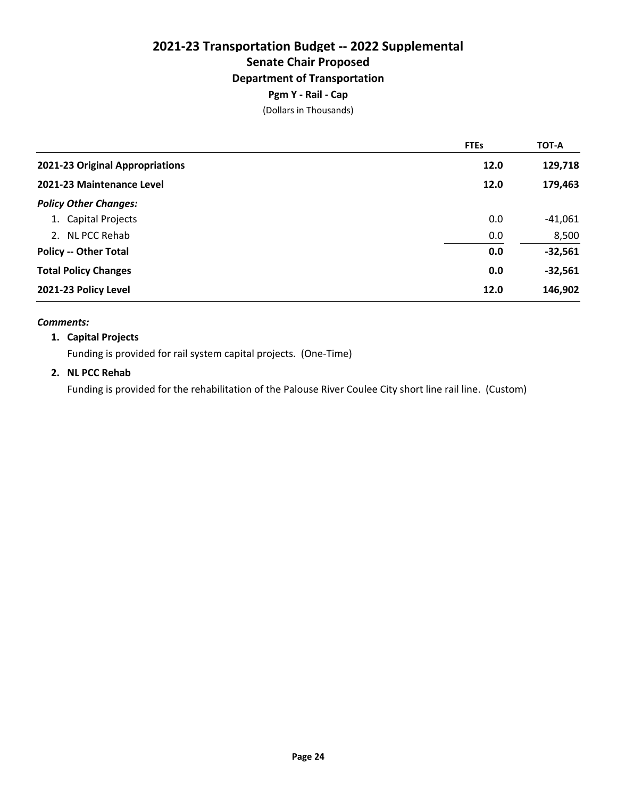#### **Pgm Y - Rail - Cap**

(Dollars in Thousands)

|                                 | <b>FTEs</b> | <b>TOT-A</b> |
|---------------------------------|-------------|--------------|
| 2021-23 Original Appropriations | 12.0        | 129,718      |
| 2021-23 Maintenance Level       | 12.0        | 179,463      |
| <b>Policy Other Changes:</b>    |             |              |
| 1. Capital Projects             | 0.0         | $-41,061$    |
| 2. NL PCC Rehab                 | 0.0         | 8,500        |
| <b>Policy -- Other Total</b>    | 0.0         | $-32,561$    |
| <b>Total Policy Changes</b>     | 0.0         | $-32,561$    |
| 2021-23 Policy Level            | 12.0        | 146,902      |

#### *Comments:*

#### **1. Capital Projects**

Funding is provided for rail system capital projects. (One-Time)

#### **2. NL PCC Rehab**

Funding is provided for the rehabilitation of the Palouse River Coulee City short line rail line. (Custom)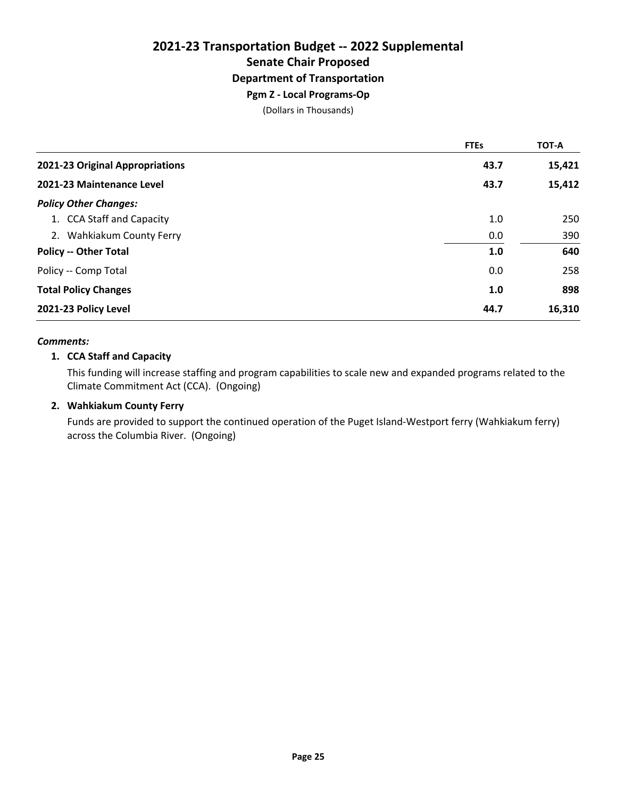#### **Pgm Z - Local Programs-Op**

(Dollars in Thousands)

|                                 | <b>FTEs</b> | TOT-A  |
|---------------------------------|-------------|--------|
| 2021-23 Original Appropriations | 43.7        | 15,421 |
| 2021-23 Maintenance Level       | 43.7        | 15,412 |
| <b>Policy Other Changes:</b>    |             |        |
| 1. CCA Staff and Capacity       | 1.0         | 250    |
| 2. Wahkiakum County Ferry       | 0.0         | 390    |
| <b>Policy -- Other Total</b>    | 1.0         | 640    |
| Policy -- Comp Total            | 0.0         | 258    |
| <b>Total Policy Changes</b>     | 1.0         | 898    |
| 2021-23 Policy Level            | 44.7        | 16,310 |

#### *Comments:*

#### **1. CCA Staff and Capacity**

This funding will increase staffing and program capabilities to scale new and expanded programs related to the Climate Commitment Act (CCA). (Ongoing)

#### **2. Wahkiakum County Ferry**

Funds are provided to support the continued operation of the Puget Island-Westport ferry (Wahkiakum ferry) across the Columbia River. (Ongoing)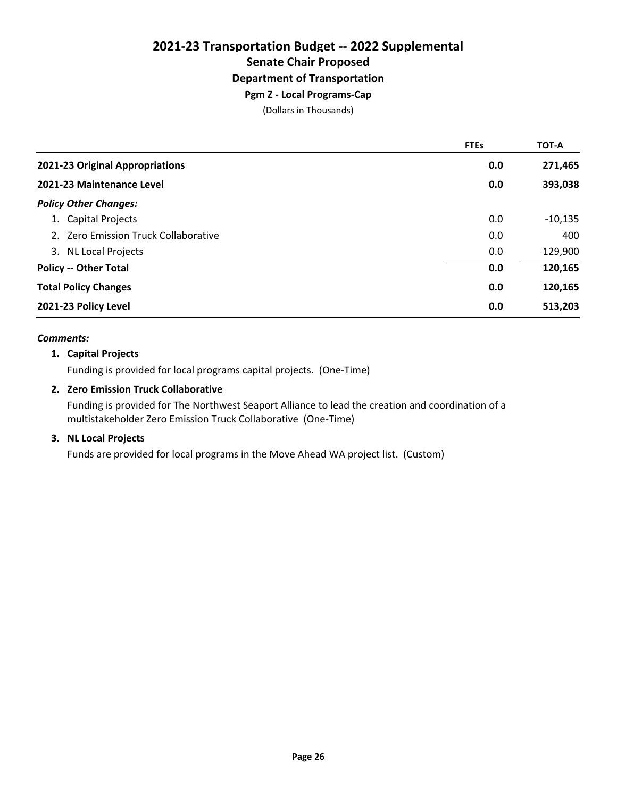#### **Pgm Z - Local Programs-Cap**

(Dollars in Thousands)

|                                      | <b>FTEs</b> | <b>TOT-A</b> |
|--------------------------------------|-------------|--------------|
| 2021-23 Original Appropriations      | 0.0         | 271,465      |
| 2021-23 Maintenance Level            | 0.0         | 393,038      |
| <b>Policy Other Changes:</b>         |             |              |
| 1. Capital Projects                  | 0.0         | $-10,135$    |
| 2. Zero Emission Truck Collaborative | 0.0         | 400          |
| 3. NL Local Projects                 | 0.0         | 129,900      |
| <b>Policy -- Other Total</b>         | 0.0         | 120,165      |
| <b>Total Policy Changes</b>          | 0.0         | 120,165      |
| 2021-23 Policy Level                 | 0.0         | 513,203      |

#### *Comments:*

#### **1. Capital Projects**

Funding is provided for local programs capital projects. (One-Time)

#### **2. Zero Emission Truck Collaborative**

Funding is provided for The Northwest Seaport Alliance to lead the creation and coordination of a multistakeholder Zero Emission Truck Collaborative (One-Time)

#### **3. NL Local Projects**

Funds are provided for local programs in the Move Ahead WA project list. (Custom)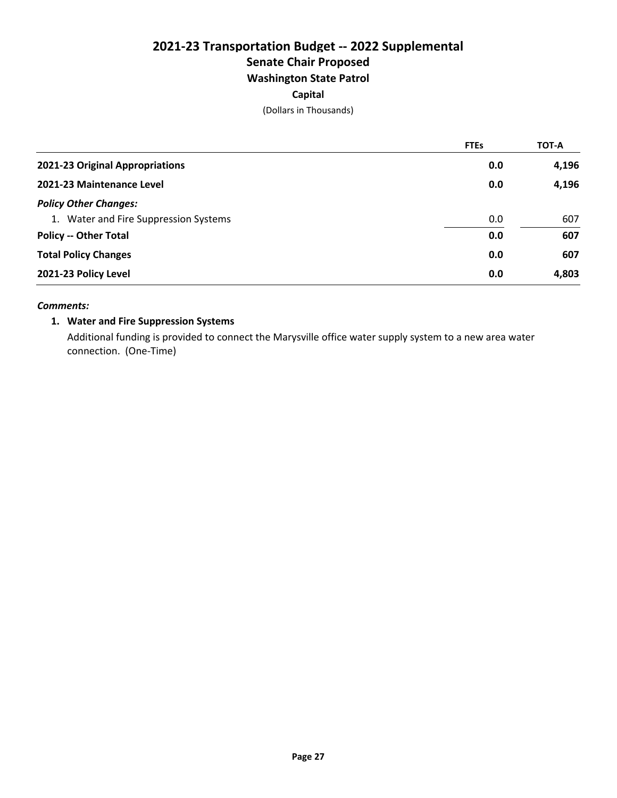# **2021-23 Transportation Budget -- 2022 Supplemental Senate Chair Proposed Washington State Patrol**

#### **Capital**

(Dollars in Thousands)

|                                       | <b>FTEs</b> | TOT-A |
|---------------------------------------|-------------|-------|
| 2021-23 Original Appropriations       | 0.0         | 4,196 |
| 2021-23 Maintenance Level             | 0.0         | 4,196 |
| <b>Policy Other Changes:</b>          |             |       |
| 1. Water and Fire Suppression Systems | 0.0         | 607   |
| <b>Policy -- Other Total</b>          | 0.0         | 607   |
| <b>Total Policy Changes</b>           | 0.0         | 607   |
| 2021-23 Policy Level                  | 0.0         | 4,803 |

#### *Comments:*

#### **1. Water and Fire Suppression Systems**

Additional funding is provided to connect the Marysville office water supply system to a new area water connection. (One-Time)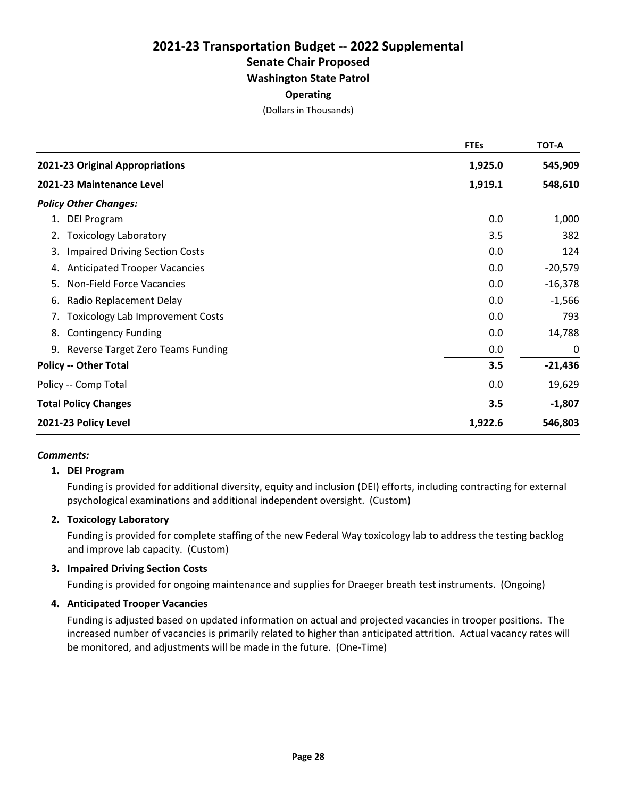# **2021-23 Transportation Budget -- 2022 Supplemental Senate Chair Proposed Washington State Patrol**

#### **Operating**

(Dollars in Thousands)

|                                               | <b>FTEs</b> | <b>TOT-A</b> |
|-----------------------------------------------|-------------|--------------|
| 2021-23 Original Appropriations               | 1,925.0     | 545,909      |
| 2021-23 Maintenance Level                     | 1,919.1     | 548,610      |
| <b>Policy Other Changes:</b>                  |             |              |
| 1. DEI Program                                | 0.0         | 1,000        |
| <b>Toxicology Laboratory</b><br>2.            | 3.5         | 382          |
| <b>Impaired Driving Section Costs</b><br>3.   | 0.0         | 124          |
| <b>Anticipated Trooper Vacancies</b><br>4.    | 0.0         | $-20,579$    |
| Non-Field Force Vacancies<br>5.               | 0.0         | $-16,378$    |
| Radio Replacement Delay<br>6.                 | 0.0         | $-1,566$     |
| <b>Toxicology Lab Improvement Costs</b><br>7. | 0.0         | 793          |
| <b>Contingency Funding</b><br>8.              | 0.0         | 14,788       |
| 9. Reverse Target Zero Teams Funding          | 0.0         | 0            |
| <b>Policy -- Other Total</b>                  | 3.5         | $-21,436$    |
| Policy -- Comp Total                          | 0.0         | 19,629       |
| <b>Total Policy Changes</b>                   | 3.5         | $-1,807$     |
| 2021-23 Policy Level                          | 1,922.6     | 546,803      |

#### *Comments:*

#### **1. DEI Program**

Funding is provided for additional diversity, equity and inclusion (DEI) efforts, including contracting for external psychological examinations and additional independent oversight. (Custom)

#### **2. Toxicology Laboratory**

Funding is provided for complete staffing of the new Federal Way toxicology lab to address the testing backlog and improve lab capacity. (Custom)

#### **3. Impaired Driving Section Costs**

Funding is provided for ongoing maintenance and supplies for Draeger breath test instruments. (Ongoing)

#### **4. Anticipated Trooper Vacancies**

Funding is adjusted based on updated information on actual and projected vacancies in trooper positions. The increased number of vacancies is primarily related to higher than anticipated attrition. Actual vacancy rates will be monitored, and adjustments will be made in the future. (One-Time)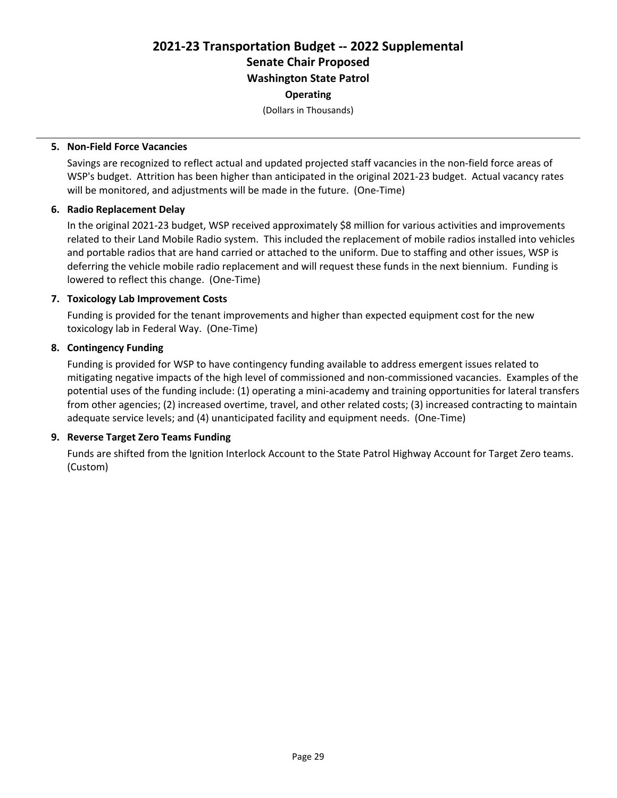# **2021-23 Transportation Budget -- 2022 Supplemental Senate Chair Proposed Washington State Patrol**

#### **Operating**

(Dollars in Thousands)

#### **5. Non-Field Force Vacancies**

Savings are recognized to reflect actual and updated projected staff vacancies in the non-field force areas of WSP's budget. Attrition has been higher than anticipated in the original 2021-23 budget. Actual vacancy rates will be monitored, and adjustments will be made in the future. (One-Time)

#### **6. Radio Replacement Delay**

In the original 2021-23 budget, WSP received approximately \$8 million for various activities and improvements related to their Land Mobile Radio system. This included the replacement of mobile radios installed into vehicles and portable radios that are hand carried or attached to the uniform. Due to staffing and other issues, WSP is deferring the vehicle mobile radio replacement and will request these funds in the next biennium. Funding is lowered to reflect this change. (One-Time)

#### **7. Toxicology Lab Improvement Costs**

Funding is provided for the tenant improvements and higher than expected equipment cost for the new toxicology lab in Federal Way. (One-Time)

#### **8. Contingency Funding**

Funding is provided for WSP to have contingency funding available to address emergent issues related to mitigating negative impacts of the high level of commissioned and non-commissioned vacancies. Examples of the potential uses of the funding include: (1) operating a mini-academy and training opportunities for lateral transfers from other agencies; (2) increased overtime, travel, and other related costs; (3) increased contracting to maintain adequate service levels; and (4) unanticipated facility and equipment needs. (One-Time)

#### **9. Reverse Target Zero Teams Funding**

Funds are shifted from the Ignition Interlock Account to the State Patrol Highway Account for Target Zero teams. (Custom)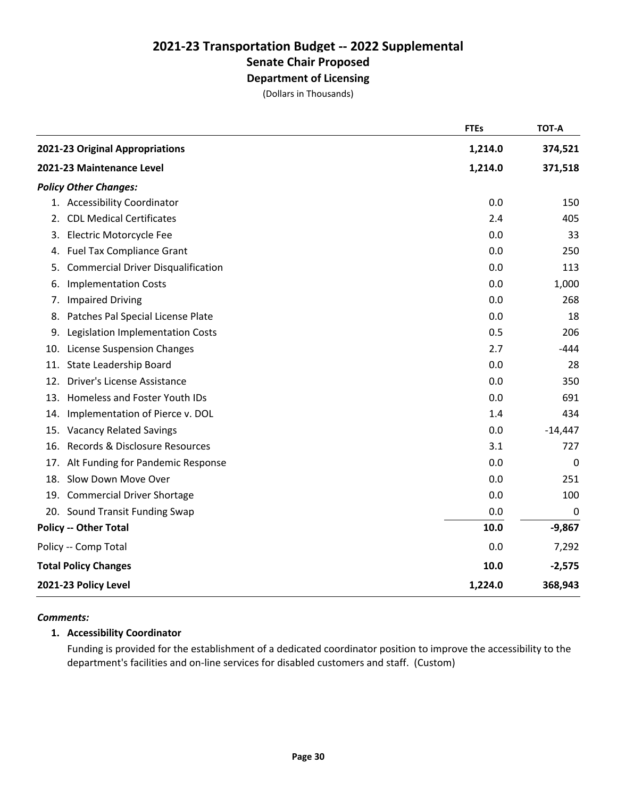# **Department of Licensing**

(Dollars in Thousands)

|     |                                           | <b>FTEs</b> | <b>TOT-A</b>     |
|-----|-------------------------------------------|-------------|------------------|
|     | 2021-23 Original Appropriations           | 1,214.0     | 374,521          |
|     | 2021-23 Maintenance Level                 | 1,214.0     | 371,518          |
|     | <b>Policy Other Changes:</b>              |             |                  |
|     | 1. Accessibility Coordinator              | 0.0         | 150              |
| 2.  | <b>CDL Medical Certificates</b>           | 2.4         | 405              |
| 3.  | Electric Motorcycle Fee                   | 0.0         | 33               |
| 4.  | <b>Fuel Tax Compliance Grant</b>          | 0.0         | 250              |
| 5.  | <b>Commercial Driver Disqualification</b> | 0.0         | 113              |
| 6.  | <b>Implementation Costs</b>               | 0.0         | 1,000            |
| 7.  | <b>Impaired Driving</b>                   | 0.0         | 268              |
| 8.  | Patches Pal Special License Plate         | 0.0         | 18               |
| 9.  | Legislation Implementation Costs          | 0.5         | 206              |
| 10. | <b>License Suspension Changes</b>         | 2.7         | $-444$           |
| 11. | State Leadership Board                    | 0.0         | 28               |
| 12. | Driver's License Assistance               | 0.0         | 350              |
| 13. | Homeless and Foster Youth IDs             | 0.0         | 691              |
| 14. | Implementation of Pierce v. DOL           | 1.4         | 434              |
| 15. | <b>Vacancy Related Savings</b>            | 0.0         | $-14,447$        |
| 16. | Records & Disclosure Resources            | 3.1         | 727              |
|     | 17. Alt Funding for Pandemic Response     | 0.0         | $\mathbf 0$      |
| 18. | Slow Down Move Over                       | 0.0         | 251              |
|     | 19. Commercial Driver Shortage            | 0.0         | 100              |
|     | 20. Sound Transit Funding Swap            | 0.0         | $\boldsymbol{0}$ |
|     | <b>Policy -- Other Total</b>              | 10.0        | $-9,867$         |
|     | Policy -- Comp Total                      | 0.0         | 7,292            |
|     | <b>Total Policy Changes</b>               | 10.0        | $-2,575$         |
|     | 2021-23 Policy Level                      | 1,224.0     | 368,943          |

#### *Comments:*

#### **1. Accessibility Coordinator**

Funding is provided for the establishment of a dedicated coordinator position to improve the accessibility to the department's facilities and on-line services for disabled customers and staff. (Custom)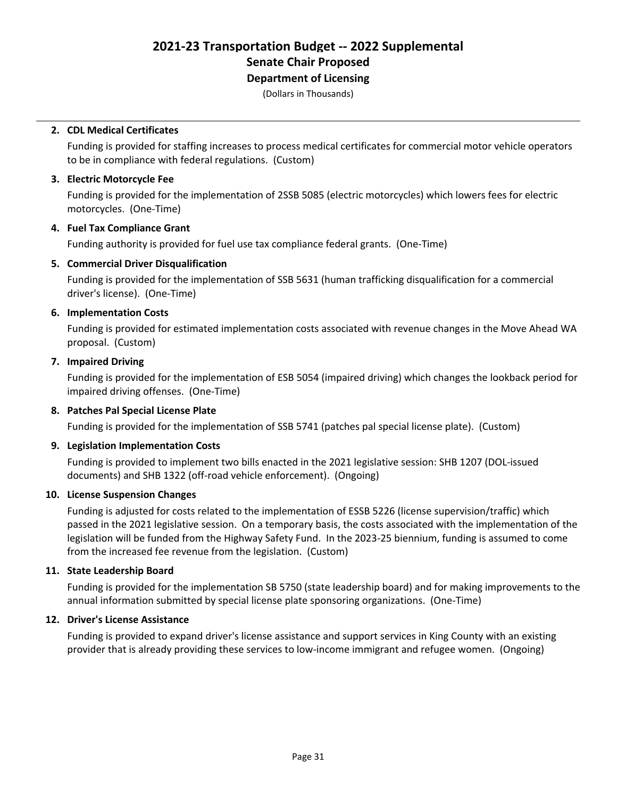### **Department of Licensing**

(Dollars in Thousands)

#### **2. CDL Medical Certificates**

Funding is provided for staffing increases to process medical certificates for commercial motor vehicle operators to be in compliance with federal regulations. (Custom)

#### **3. Electric Motorcycle Fee**

Funding is provided for the implementation of 2SSB 5085 (electric motorcycles) which lowers fees for electric motorcycles. (One-Time)

#### **4. Fuel Tax Compliance Grant**

Funding authority is provided for fuel use tax compliance federal grants. (One-Time)

#### **5. Commercial Driver Disqualification**

Funding is provided for the implementation of SSB 5631 (human trafficking disqualification for a commercial driver's license). (One-Time)

#### **6. Implementation Costs**

Funding is provided for estimated implementation costs associated with revenue changes in the Move Ahead WA proposal. (Custom)

#### **7. Impaired Driving**

Funding is provided for the implementation of ESB 5054 (impaired driving) which changes the lookback period for impaired driving offenses. (One-Time)

#### **8. Patches Pal Special License Plate**

Funding is provided for the implementation of SSB 5741 (patches pal special license plate). (Custom)

#### **9. Legislation Implementation Costs**

Funding is provided to implement two bills enacted in the 2021 legislative session: SHB 1207 (DOL-issued documents) and SHB 1322 (off-road vehicle enforcement). (Ongoing)

#### **10. License Suspension Changes**

Funding is adjusted for costs related to the implementation of ESSB 5226 (license supervision/traffic) which passed in the 2021 legislative session. On a temporary basis, the costs associated with the implementation of the legislation will be funded from the Highway Safety Fund. In the 2023-25 biennium, funding is assumed to come from the increased fee revenue from the legislation. (Custom)

#### **11. State Leadership Board**

Funding is provided for the implementation SB 5750 (state leadership board) and for making improvements to the annual information submitted by special license plate sponsoring organizations. (One-Time)

#### **12. Driver's License Assistance**

Funding is provided to expand driver's license assistance and support services in King County with an existing provider that is already providing these services to low-income immigrant and refugee women. (Ongoing)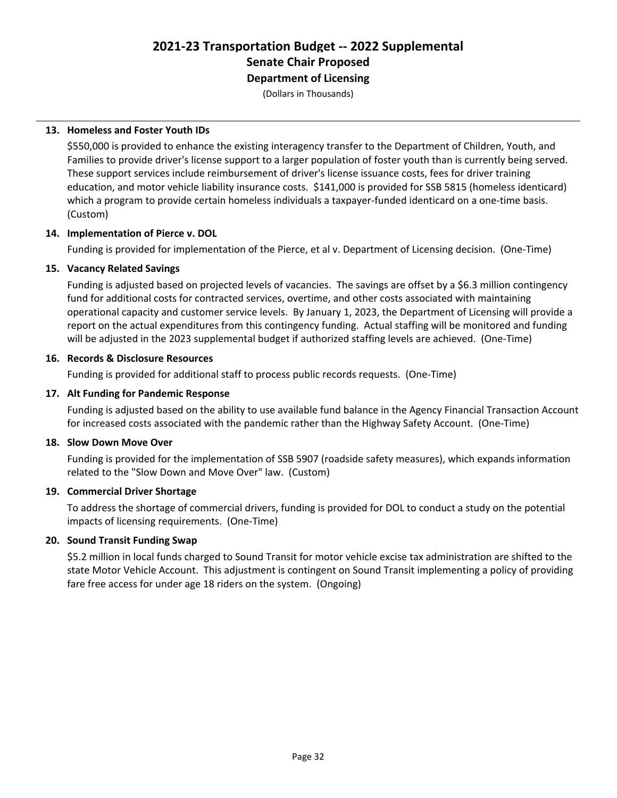**Department of Licensing**

(Dollars in Thousands)

#### **13. Homeless and Foster Youth IDs**

\$550,000 is provided to enhance the existing interagency transfer to the Department of Children, Youth, and Families to provide driver's license support to a larger population of foster youth than is currently being served. These support services include reimbursement of driver's license issuance costs, fees for driver training education, and motor vehicle liability insurance costs. \$141,000 is provided for SSB 5815 (homeless identicard) which a program to provide certain homeless individuals a taxpayer-funded identicard on a one-time basis. (Custom)

#### **14. Implementation of Pierce v. DOL**

Funding is provided for implementation of the Pierce, et al v. Department of Licensing decision. (One-Time)

#### **15. Vacancy Related Savings**

Funding is adjusted based on projected levels of vacancies. The savings are offset by a \$6.3 million contingency fund for additional costs for contracted services, overtime, and other costs associated with maintaining operational capacity and customer service levels. By January 1, 2023, the Department of Licensing will provide a report on the actual expenditures from this contingency funding. Actual staffing will be monitored and funding will be adjusted in the 2023 supplemental budget if authorized staffing levels are achieved. (One-Time)

#### **16. Records & Disclosure Resources**

Funding is provided for additional staff to process public records requests. (One-Time)

#### **17. Alt Funding for Pandemic Response**

Funding is adjusted based on the ability to use available fund balance in the Agency Financial Transaction Account for increased costs associated with the pandemic rather than the Highway Safety Account. (One-Time)

#### **18. Slow Down Move Over**

Funding is provided for the implementation of SSB 5907 (roadside safety measures), which expands information related to the "Slow Down and Move Over" law. (Custom)

#### **19. Commercial Driver Shortage**

To address the shortage of commercial drivers, funding is provided for DOL to conduct a study on the potential impacts of licensing requirements. (One-Time)

#### **20. Sound Transit Funding Swap**

\$5.2 million in local funds charged to Sound Transit for motor vehicle excise tax administration are shifted to the state Motor Vehicle Account. This adjustment is contingent on Sound Transit implementing a policy of providing fare free access for under age 18 riders on the system. (Ongoing)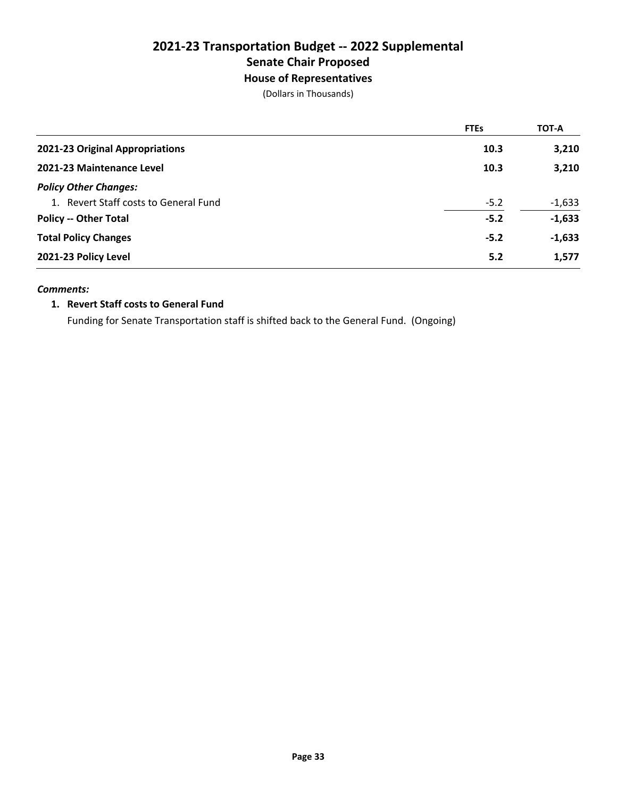#### **House of Representatives**

(Dollars in Thousands)

|                                       | <b>FTEs</b> | <b>TOT-A</b> |
|---------------------------------------|-------------|--------------|
| 2021-23 Original Appropriations       | 10.3        | 3,210        |
| 2021-23 Maintenance Level             | 10.3        | 3,210        |
| <b>Policy Other Changes:</b>          |             |              |
| 1. Revert Staff costs to General Fund | $-5.2$      | $-1,633$     |
| <b>Policy -- Other Total</b>          | $-5.2$      | $-1,633$     |
| <b>Total Policy Changes</b>           | $-5.2$      | $-1,633$     |
| 2021-23 Policy Level                  | 5.2         | 1,577        |

#### *Comments:*

#### **1. Revert Staff costs to General Fund**

Funding for Senate Transportation staff is shifted back to the General Fund. (Ongoing)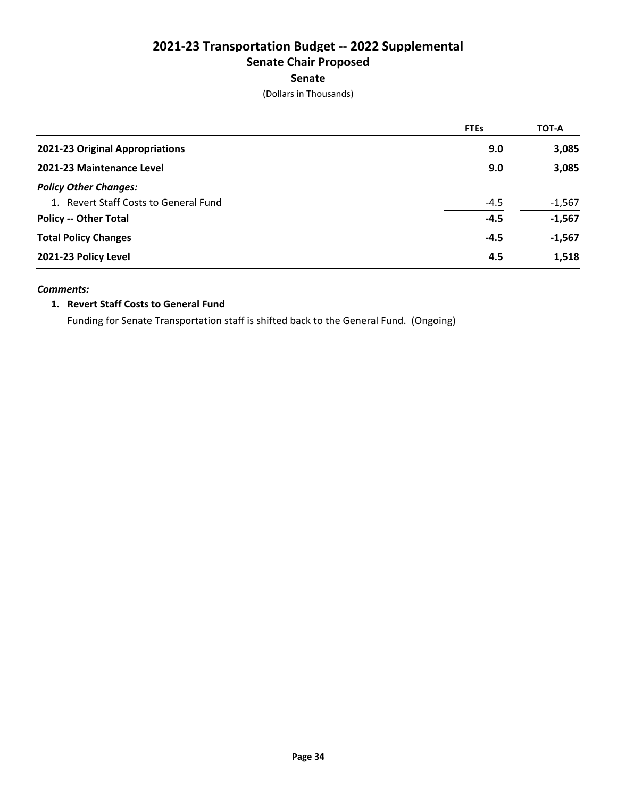#### **Senate**

(Dollars in Thousands)

|                                       | <b>FTEs</b> | <b>TOT-A</b> |
|---------------------------------------|-------------|--------------|
| 2021-23 Original Appropriations       | 9.0         | 3,085        |
| 2021-23 Maintenance Level             | 9.0         | 3,085        |
| <b>Policy Other Changes:</b>          |             |              |
| 1. Revert Staff Costs to General Fund | $-4.5$      | $-1,567$     |
| <b>Policy -- Other Total</b>          | $-4.5$      | $-1,567$     |
| <b>Total Policy Changes</b>           | $-4.5$      | $-1,567$     |
| 2021-23 Policy Level                  | 4.5         | 1,518        |

#### *Comments:*

#### **1. Revert Staff Costs to General Fund**

Funding for Senate Transportation staff is shifted back to the General Fund. (Ongoing)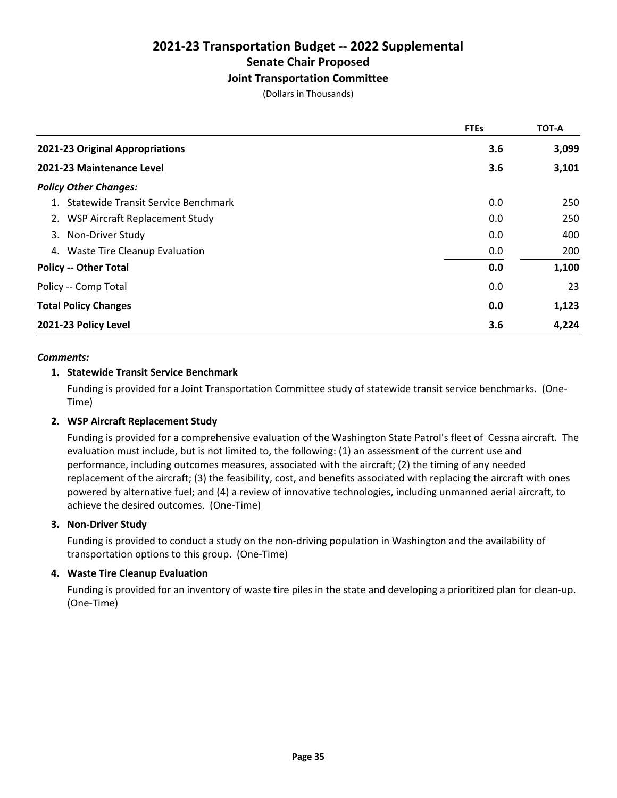#### **Joint Transportation Committee**

(Dollars in Thousands)

|                                        | <b>FTEs</b> | <b>TOT-A</b> |
|----------------------------------------|-------------|--------------|
| 2021-23 Original Appropriations        | 3.6         | 3,099        |
| 2021-23 Maintenance Level              | 3.6         | 3,101        |
| <b>Policy Other Changes:</b>           |             |              |
| 1. Statewide Transit Service Benchmark | 0.0         | 250          |
| 2. WSP Aircraft Replacement Study      | 0.0         | 250          |
| 3. Non-Driver Study                    | 0.0         | 400          |
| 4. Waste Tire Cleanup Evaluation       | 0.0         | 200          |
| <b>Policy -- Other Total</b>           | 0.0         | 1,100        |
| Policy -- Comp Total                   | 0.0         | 23           |
| <b>Total Policy Changes</b>            | 0.0         | 1,123        |
| 2021-23 Policy Level                   | 3.6         | 4,224        |

#### *Comments:*

#### **1. Statewide Transit Service Benchmark**

Funding is provided for a Joint Transportation Committee study of statewide transit service benchmarks. (One-Time)

#### **2. WSP Aircraft Replacement Study**

Funding is provided for a comprehensive evaluation of the Washington State Patrol's fleet of Cessna aircraft. The evaluation must include, but is not limited to, the following: (1) an assessment of the current use and performance, including outcomes measures, associated with the aircraft; (2) the timing of any needed replacement of the aircraft; (3) the feasibility, cost, and benefits associated with replacing the aircraft with ones powered by alternative fuel; and (4) a review of innovative technologies, including unmanned aerial aircraft, to achieve the desired outcomes. (One-Time)

#### **3. Non-Driver Study**

Funding is provided to conduct a study on the non-driving population in Washington and the availability of transportation options to this group. (One-Time)

#### **4. Waste Tire Cleanup Evaluation**

Funding is provided for an inventory of waste tire piles in the state and developing a prioritized plan for clean-up. (One-Time)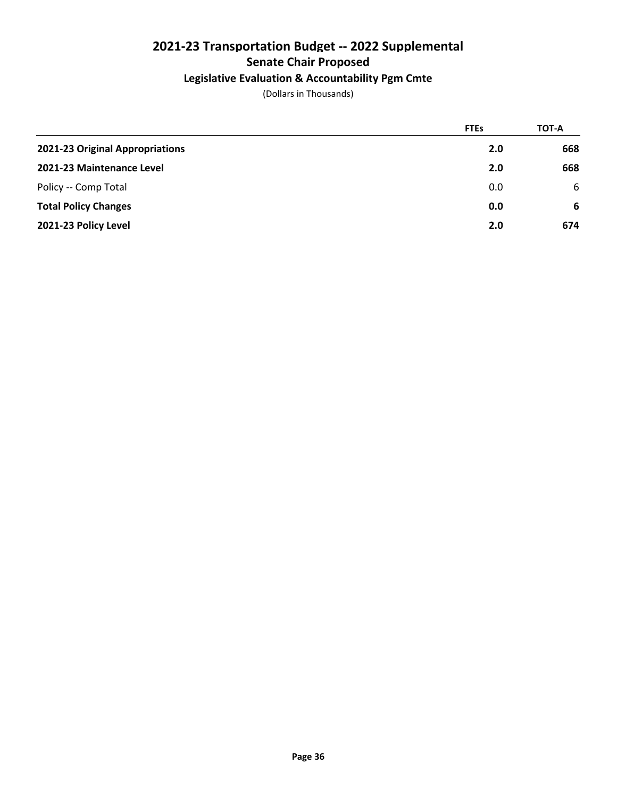### **Legislative Evaluation & Accountability Pgm Cmte**

|                                 | <b>FTEs</b> | TOT-A |
|---------------------------------|-------------|-------|
| 2021-23 Original Appropriations | 2.0         | 668   |
| 2021-23 Maintenance Level       | 2.0         | 668   |
| Policy -- Comp Total            | 0.0         | 6     |
| <b>Total Policy Changes</b>     | 0.0         | -6    |
| 2021-23 Policy Level            | 2.0         | 674   |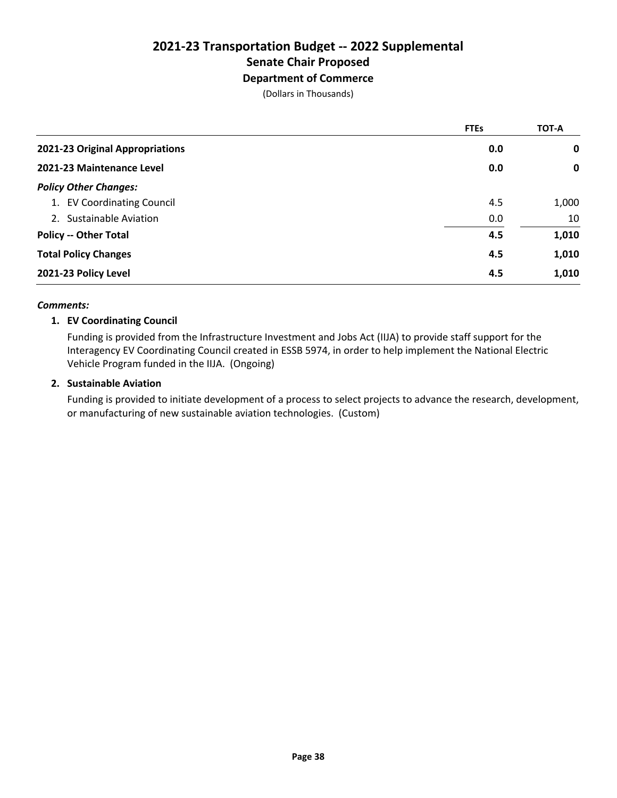### **Department of Commerce**

(Dollars in Thousands)

|                                 | <b>FTEs</b> | <b>TOT-A</b> |
|---------------------------------|-------------|--------------|
| 2021-23 Original Appropriations | 0.0         | 0            |
| 2021-23 Maintenance Level       | 0.0         | $\mathbf 0$  |
| <b>Policy Other Changes:</b>    |             |              |
| 1. EV Coordinating Council      | 4.5         | 1,000        |
| 2. Sustainable Aviation         | 0.0         | 10           |
| <b>Policy -- Other Total</b>    | 4.5         | 1,010        |
| <b>Total Policy Changes</b>     | 4.5         | 1,010        |
| 2021-23 Policy Level            | 4.5         | 1,010        |

#### *Comments:*

#### **1. EV Coordinating Council**

Funding is provided from the Infrastructure Investment and Jobs Act (IIJA) to provide staff support for the Interagency EV Coordinating Council created in ESSB 5974, in order to help implement the National Electric Vehicle Program funded in the IIJA. (Ongoing)

#### **2. Sustainable Aviation**

Funding is provided to initiate development of a process to select projects to advance the research, development, or manufacturing of new sustainable aviation technologies. (Custom)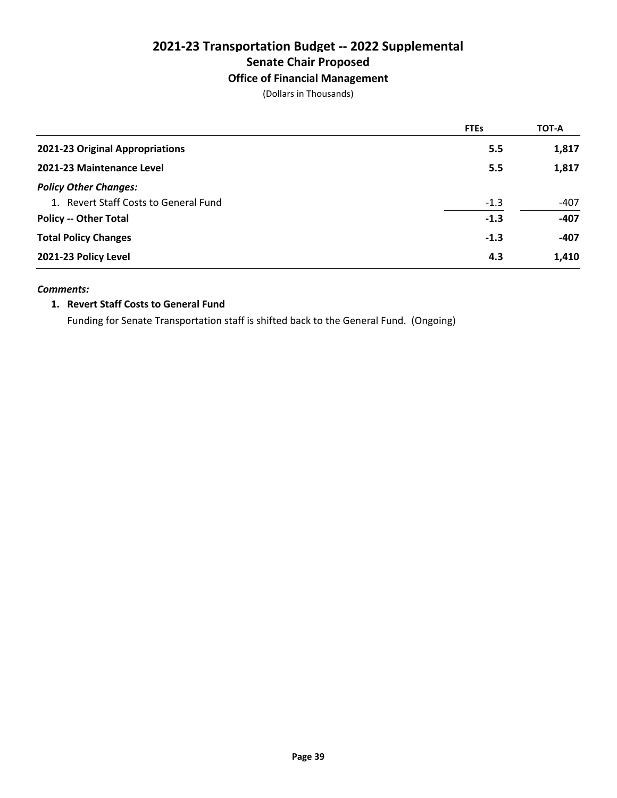#### **Office of Financial Management**

(Dollars in Thousands)

|                                       | <b>FTEs</b> | <b>TOT-A</b> |
|---------------------------------------|-------------|--------------|
| 2021-23 Original Appropriations       | 5.5         | 1,817        |
| 2021-23 Maintenance Level             | 5.5         | 1,817        |
| <b>Policy Other Changes:</b>          |             |              |
| 1. Revert Staff Costs to General Fund | $-1.3$      | $-407$       |
| <b>Policy -- Other Total</b>          | $-1.3$      | $-407$       |
| <b>Total Policy Changes</b>           | $-1.3$      | $-407$       |
| 2021-23 Policy Level                  | 4.3         | 1,410        |

#### *Comments:*

#### **1. Revert Staff Costs to General Fund**

Funding for Senate Transportation staff is shifted back to the General Fund. (Ongoing)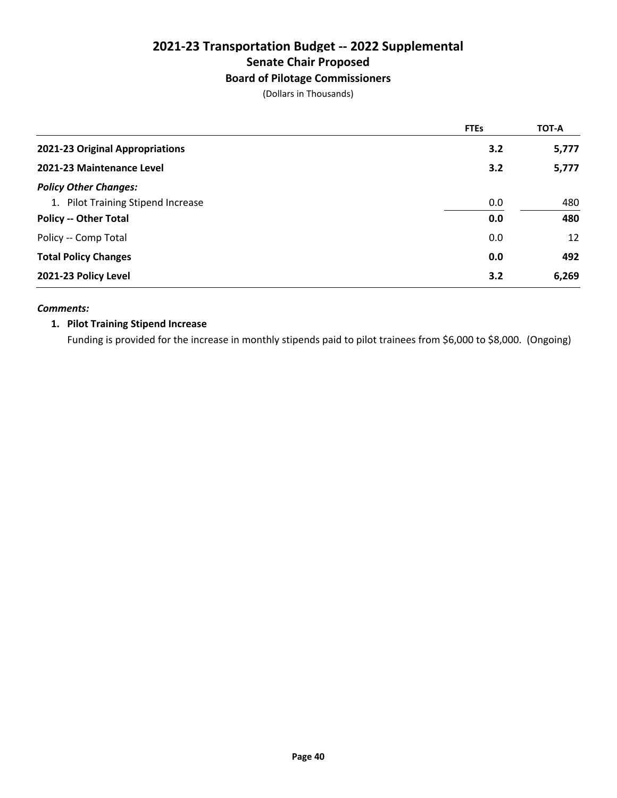### **Board of Pilotage Commissioners**

(Dollars in Thousands)

|                                    | <b>FTEs</b> | <b>TOT-A</b> |
|------------------------------------|-------------|--------------|
| 2021-23 Original Appropriations    | 3.2         | 5,777        |
| 2021-23 Maintenance Level          | 3.2         | 5,777        |
| <b>Policy Other Changes:</b>       |             |              |
| 1. Pilot Training Stipend Increase | 0.0         | 480          |
| <b>Policy -- Other Total</b>       | 0.0         | 480          |
| Policy -- Comp Total               | 0.0         | 12           |
| <b>Total Policy Changes</b>        | 0.0         | 492          |
| 2021-23 Policy Level               | 3.2         | 6,269        |

#### *Comments:*

### **1. Pilot Training Stipend Increase**

Funding is provided for the increase in monthly stipends paid to pilot trainees from \$6,000 to \$8,000. (Ongoing)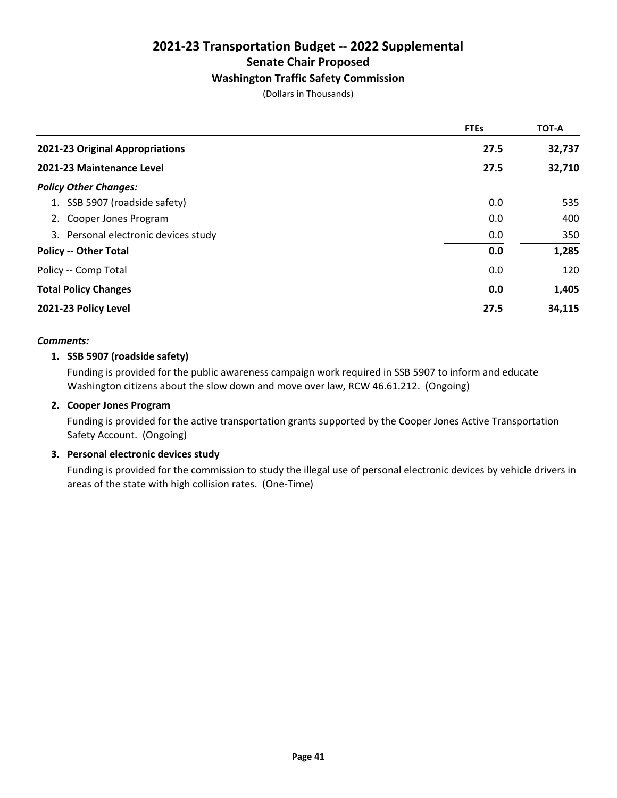#### **Washington Traffic Safety Commission**

(Dollars in Thousands)

|                                      | <b>FTEs</b> | TOT-A  |
|--------------------------------------|-------------|--------|
| 2021-23 Original Appropriations      | 27.5        | 32,737 |
| 2021-23 Maintenance Level            | 27.5        | 32,710 |
| <b>Policy Other Changes:</b>         |             |        |
| 1. SSB 5907 (roadside safety)        | 0.0         | 535    |
| 2. Cooper Jones Program              | 0.0         | 400    |
| 3. Personal electronic devices study | 0.0         | 350    |
| <b>Policy -- Other Total</b>         | 0.0         | 1,285  |
| Policy -- Comp Total                 | 0.0         | 120    |
| <b>Total Policy Changes</b>          | 0.0         | 1,405  |
| 2021-23 Policy Level                 | 27.5        | 34,115 |

#### *Comments:*

#### **1. SSB 5907 (roadside safety)**

Funding is provided for the public awareness campaign work required in SSB 5907 to inform and educate Washington citizens about the slow down and move over law, RCW 46.61.212. (Ongoing)

#### **2. Cooper Jones Program**

Funding is provided for the active transportation grants supported by the Cooper Jones Active Transportation Safety Account. (Ongoing)

#### **3. Personal electronic devices study**

Funding is provided for the commission to study the illegal use of personal electronic devices by vehicle drivers in areas of the state with high collision rates. (One-Time)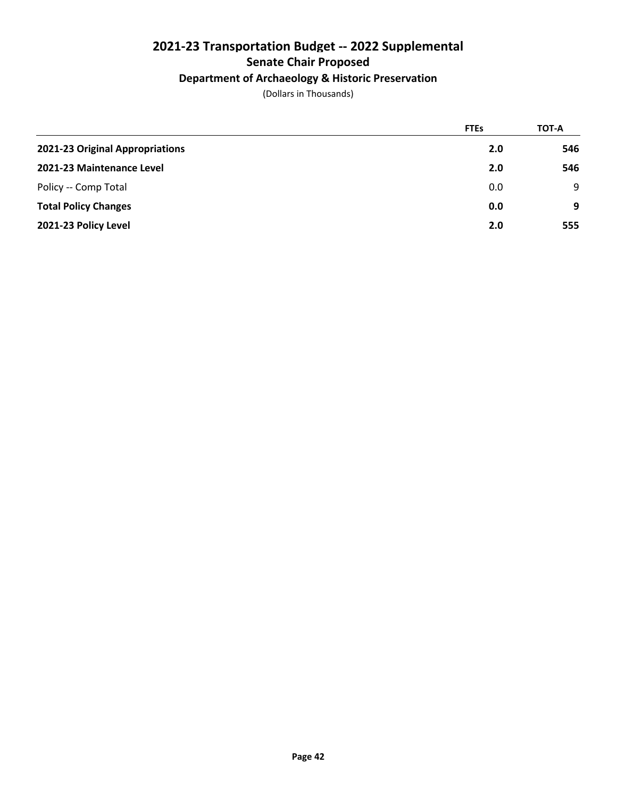### **Department of Archaeology & Historic Preservation**

|                                 | <b>FTEs</b> | TOT-A |
|---------------------------------|-------------|-------|
| 2021-23 Original Appropriations | 2.0         | 546   |
| 2021-23 Maintenance Level       | 2.0         | 546   |
| Policy -- Comp Total            | 0.0         | 9     |
| <b>Total Policy Changes</b>     | 0.0         | 9     |
| 2021-23 Policy Level            | 2.0         | 555   |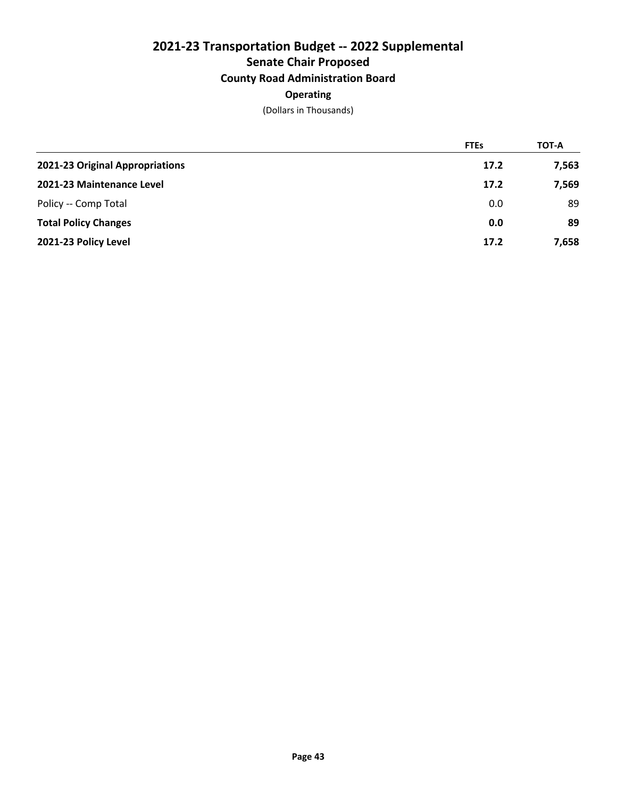# **2021-23 Transportation Budget -- 2022 Supplemental Senate Chair Proposed County Road Administration Board**

### **Operating**

|                                 | <b>FTEs</b> | TOT-A |
|---------------------------------|-------------|-------|
| 2021-23 Original Appropriations | 17.2        | 7,563 |
| 2021-23 Maintenance Level       | 17.2        | 7,569 |
| Policy -- Comp Total            | 0.0         | 89    |
| <b>Total Policy Changes</b>     | 0.0         | 89    |
| 2021-23 Policy Level            | 17.2        | 7,658 |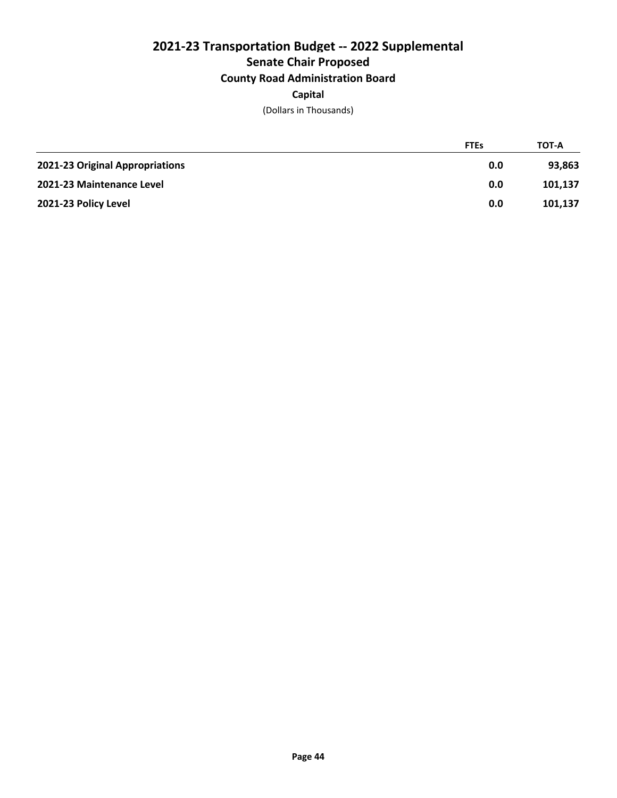# **2021-23 Transportation Budget -- 2022 Supplemental Senate Chair Proposed County Road Administration Board**

### **Capital**

|                                 | <b>FTEs</b> | <b>TOT-A</b> |
|---------------------------------|-------------|--------------|
| 2021-23 Original Appropriations | 0.0         | 93.863       |
| 2021-23 Maintenance Level       | 0.0         | 101,137      |
| 2021-23 Policy Level            | 0.0         | 101,137      |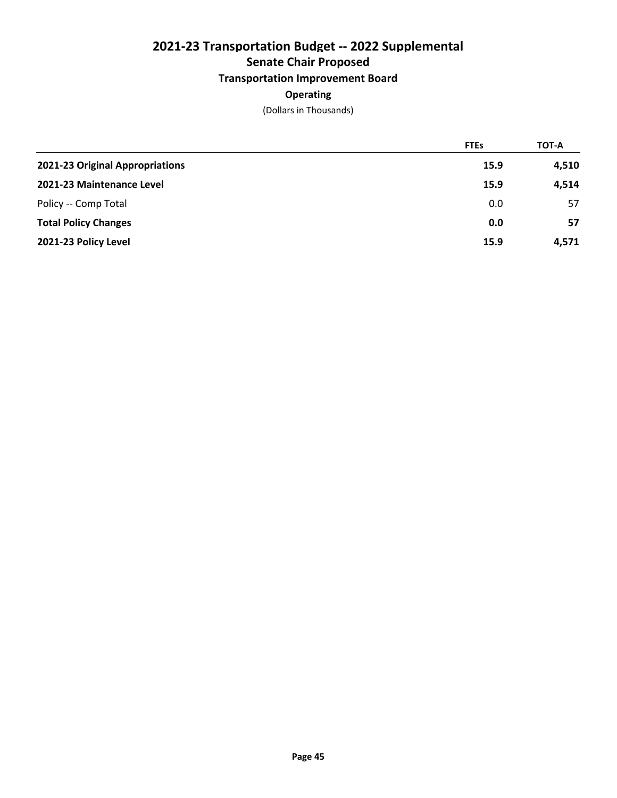### **Transportation Improvement Board**

### **Operating**

|                                 | <b>FTEs</b> | TOT-A |
|---------------------------------|-------------|-------|
| 2021-23 Original Appropriations | 15.9        | 4,510 |
| 2021-23 Maintenance Level       | 15.9        | 4,514 |
| Policy -- Comp Total            | 0.0         | 57    |
| <b>Total Policy Changes</b>     | 0.0         | 57    |
| 2021-23 Policy Level            | 15.9        | 4,571 |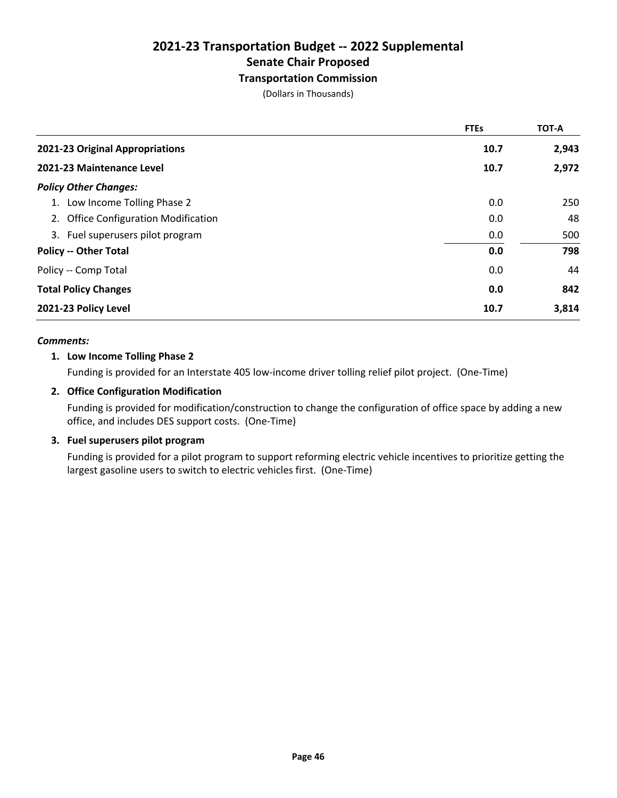#### **Transportation Commission**

(Dollars in Thousands)

|                                      | <b>FTEs</b> | TOT-A |
|--------------------------------------|-------------|-------|
| 2021-23 Original Appropriations      | 10.7        | 2,943 |
| 2021-23 Maintenance Level            | 10.7        | 2,972 |
| <b>Policy Other Changes:</b>         |             |       |
| 1. Low Income Tolling Phase 2        | 0.0         | 250   |
| 2. Office Configuration Modification | 0.0         | 48    |
| 3. Fuel superusers pilot program     | 0.0         | 500   |
| <b>Policy -- Other Total</b>         | 0.0         | 798   |
| Policy -- Comp Total                 | 0.0         | 44    |
| <b>Total Policy Changes</b>          | 0.0         | 842   |
| 2021-23 Policy Level                 | 10.7        | 3,814 |

#### *Comments:*

#### **1. Low Income Tolling Phase 2**

Funding is provided for an Interstate 405 low-income driver tolling relief pilot project. (One-Time)

#### **2. Office Configuration Modification**

Funding is provided for modification/construction to change the configuration of office space by adding a new office, and includes DES support costs. (One-Time)

#### **3. Fuel superusers pilot program**

Funding is provided for a pilot program to support reforming electric vehicle incentives to prioritize getting the largest gasoline users to switch to electric vehicles first. (One-Time)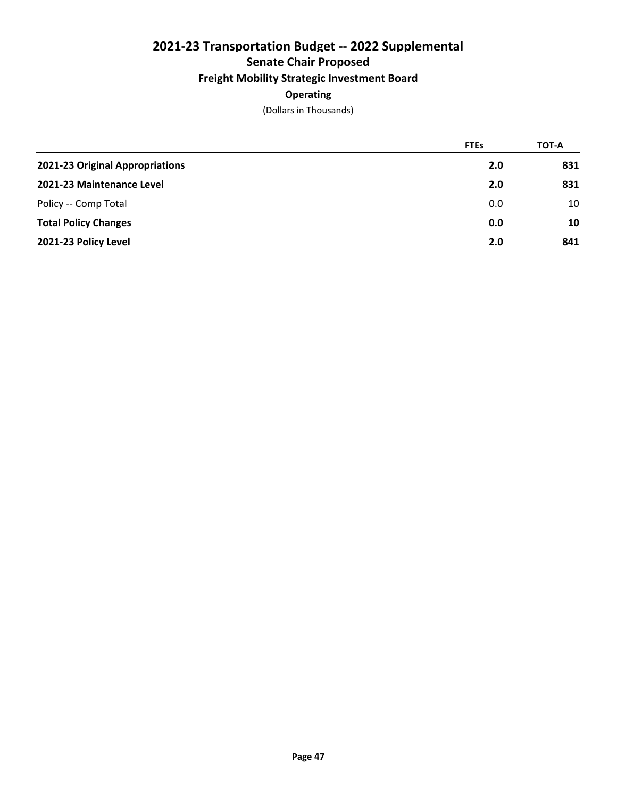### **Freight Mobility Strategic Investment Board**

### **Operating**

|                                 | <b>FTEs</b> | TOT-A |
|---------------------------------|-------------|-------|
| 2021-23 Original Appropriations | 2.0         | 831   |
| 2021-23 Maintenance Level       | 2.0         | 831   |
| Policy -- Comp Total            | 0.0         | 10    |
| <b>Total Policy Changes</b>     | 0.0         | 10    |
| 2021-23 Policy Level            | 2.0         | 841   |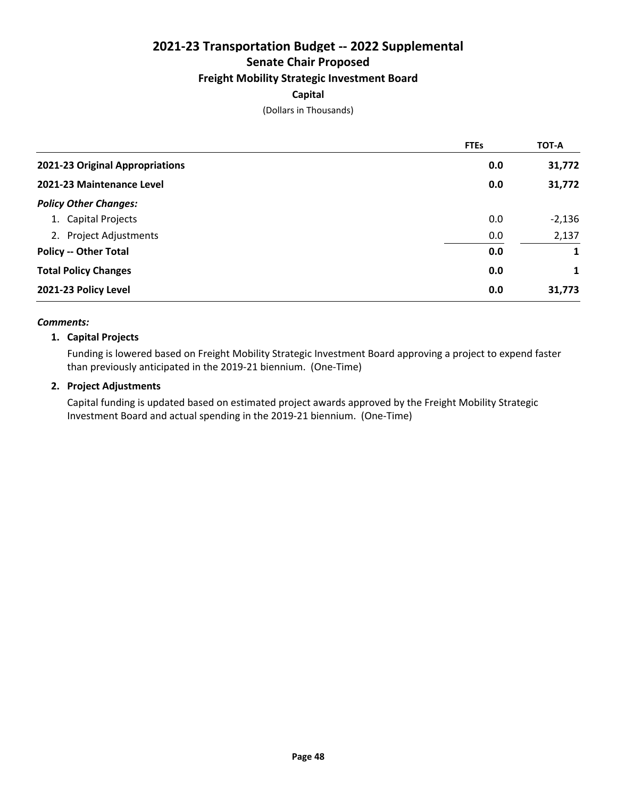### **Freight Mobility Strategic Investment Board**

#### **Capital**

(Dollars in Thousands)

|                                 | <b>FTEs</b> | <b>TOT-A</b> |
|---------------------------------|-------------|--------------|
| 2021-23 Original Appropriations | 0.0         | 31,772       |
| 2021-23 Maintenance Level       | 0.0         | 31,772       |
| <b>Policy Other Changes:</b>    |             |              |
| 1. Capital Projects             | 0.0         | $-2,136$     |
| 2. Project Adjustments          | 0.0         | 2,137        |
| <b>Policy -- Other Total</b>    | 0.0         | 1            |
| <b>Total Policy Changes</b>     | 0.0         | 1            |
| 2021-23 Policy Level            | 0.0         | 31,773       |

#### *Comments:*

#### **1. Capital Projects**

Funding is lowered based on Freight Mobility Strategic Investment Board approving a project to expend faster than previously anticipated in the 2019-21 biennium. (One-Time)

#### **2. Project Adjustments**

Capital funding is updated based on estimated project awards approved by the Freight Mobility Strategic Investment Board and actual spending in the 2019-21 biennium. (One-Time)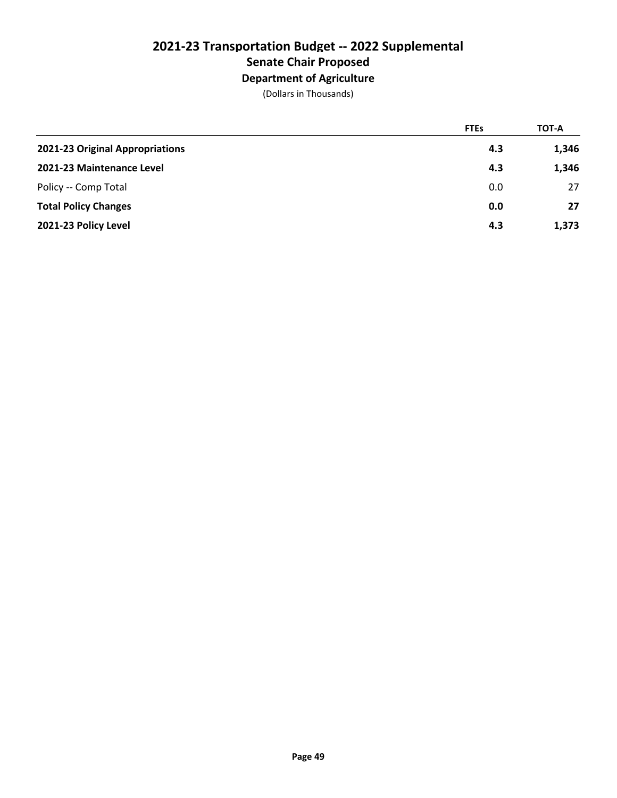# **Department of Agriculture**

|                                 | <b>FTEs</b> | TOT-A |
|---------------------------------|-------------|-------|
| 2021-23 Original Appropriations | 4.3         | 1,346 |
| 2021-23 Maintenance Level       | 4.3         | 1,346 |
| Policy -- Comp Total            | 0.0         | 27    |
| <b>Total Policy Changes</b>     | 0.0         | 27    |
| 2021-23 Policy Level            | 4.3         | 1,373 |